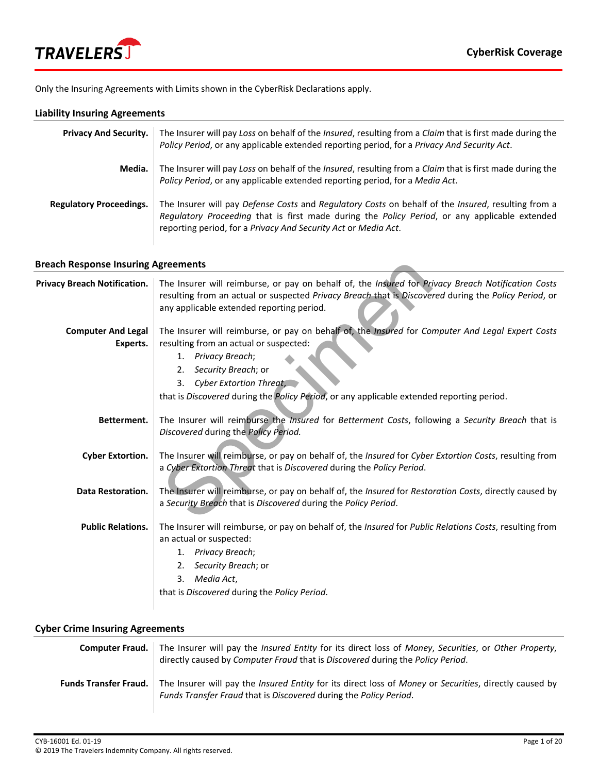

Only the Insuring Agreements with Limits shown in the CyberRisk Declarations apply.

## **Liability Insuring Agreements**

| <b>Privacy And Security.</b>   | The Insurer will pay Loss on behalf of the <i>Insured</i> , resulting from a <i>Claim</i> that is first made during the<br>Policy Period, or any applicable extended reporting period, for a Privacy And Security Act.                                                |
|--------------------------------|-----------------------------------------------------------------------------------------------------------------------------------------------------------------------------------------------------------------------------------------------------------------------|
| Media.                         | The Insurer will pay Loss on behalf of the Insured, resulting from a Claim that is first made during the<br>Policy Period, or any applicable extended reporting period, for a Media Act.                                                                              |
| <b>Regulatory Proceedings.</b> | The Insurer will pay Defense Costs and Regulatory Costs on behalf of the Insured, resulting from a<br>Regulatory Proceeding that is first made during the Policy Period, or any applicable extended<br>reporting period, for a Privacy And Security Act or Media Act. |

### **Breach Response Insuring Agreements**

| <b>Breach Response Insuring Agreements</b> |                                                                                                                                                                                                                                                                                                                             |  |
|--------------------------------------------|-----------------------------------------------------------------------------------------------------------------------------------------------------------------------------------------------------------------------------------------------------------------------------------------------------------------------------|--|
| <b>Privacy Breach Notification.</b>        | The Insurer will reimburse, or pay on behalf of, the Insured for Privacy Breach Notification Costs<br>resulting from an actual or suspected Privacy Breach that is Discovered during the Policy Period, or<br>any applicable extended reporting period.                                                                     |  |
| <b>Computer And Legal</b><br>Experts.      | The Insurer will reimburse, or pay on behalf of, the Insured for Computer And Legal Expert Costs<br>resulting from an actual or suspected:<br>1. Privacy Breach;<br>Security Breach; or<br>2.<br>3.<br>Cyber Extortion Threat,<br>that is Discovered during the Policy Period, or any applicable extended reporting period. |  |
| Betterment.                                | The Insurer will reimburse the Insured for Betterment Costs, following a Security Breach that is<br>Discovered during the Policy Period.                                                                                                                                                                                    |  |
| <b>Cyber Extortion.</b>                    | The Insurer will reimburse, or pay on behalf of, the Insured for Cyber Extortion Costs, resulting from<br>a Cyber Extortion Threat that is Discovered during the Policy Period.                                                                                                                                             |  |
| <b>Data Restoration.</b>                   | The Insurer will reimburse, or pay on behalf of, the <i>Insured</i> for <i>Restoration Costs</i> , directly caused by<br>a Security Breach that is Discovered during the Policy Period.                                                                                                                                     |  |
| <b>Public Relations.</b>                   | The Insurer will reimburse, or pay on behalf of, the Insured for Public Relations Costs, resulting from<br>an actual or suspected:<br>Privacy Breach;<br>1.<br>Security Breach; or<br>2.<br>Media Act,<br>3.<br>that is Discovered during the Policy Period.                                                                |  |

## **Cyber Crime Insuring Agreements**

| <b>Computer Fraud.</b>       | The Insurer will pay the Insured Entity for its direct loss of Money, Securities, or Other Property,<br>directly caused by Computer Fraud that is Discovered during the Policy Period.            |
|------------------------------|---------------------------------------------------------------------------------------------------------------------------------------------------------------------------------------------------|
| <b>Funds Transfer Fraud.</b> | The Insurer will pay the <i>Insured Entity</i> for its direct loss of <i>Money</i> or <i>Securities</i> , directly caused by<br>Funds Transfer Fraud that is Discovered during the Policy Period. |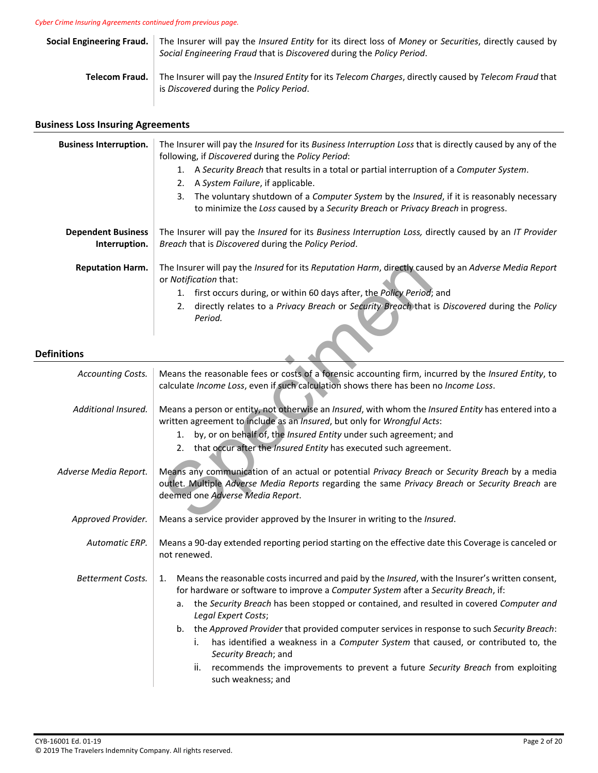*Cyber Crime Insuring Agreements continued from previous page.* 

| <b>Social Engineering Fraud.</b> | The Insurer will pay the Insured Entity for its direct loss of Money or Securities, directly caused by<br>Social Engineering Fraud that is Discovered during the Policy Period. |
|----------------------------------|---------------------------------------------------------------------------------------------------------------------------------------------------------------------------------|
| Telecom Fraud.                   | The Insurer will pay the Insured Entity for its Telecom Charges, directly caused by Telecom Fraud that<br>is Discovered during the Policy Period.                               |

# **Business Loss Insuring Agreements**

| <b>Business Interruption.</b>              | The Insurer will pay the Insured for its Business Interruption Loss that is directly caused by any of the<br>following, if Discovered during the Policy Period:                                                     |
|--------------------------------------------|---------------------------------------------------------------------------------------------------------------------------------------------------------------------------------------------------------------------|
|                                            | A Security Breach that results in a total or partial interruption of a Computer System.<br>A System Failure, if applicable.                                                                                         |
|                                            | The voluntary shutdown of a <i>Computer System</i> by the <i>Insured</i> , if it is reasonably necessary<br>3.<br>to minimize the Loss caused by a Security Breach or Privacy Breach in progress.                   |
| <b>Dependent Business</b><br>Interruption. | The Insurer will pay the <i>Insured</i> for its Business Interruption Loss, directly caused by an IT Provider<br>Breach that is Discovered during the Policy Period.                                                |
| <b>Reputation Harm.</b>                    | The Insurer will pay the <i>Insured</i> for its Reputation Harm, directly caused by an Adverse Media Report<br>or <i>Notification</i> that:<br>first occurs during, or within 60 days after, the Policy Period; and |
|                                            | directly relates to a Privacy Breach or Security Breach that is Discovered during the Policy<br>Period.                                                                                                             |

## **Definitions**

| <b>Reputation Harm.</b>  | The Insurer will pay the Insured for its Reputation Harm, directly caused by an Adverse Media Report<br>or Notification that:                                                                                                         |
|--------------------------|---------------------------------------------------------------------------------------------------------------------------------------------------------------------------------------------------------------------------------------|
|                          | 1. first occurs during, or within 60 days after, the Policy Period; and                                                                                                                                                               |
| itions                   | directly relates to a Privacy Breach or Security Breach that is Discovered during the Policy<br>2.<br>Period.                                                                                                                         |
|                          |                                                                                                                                                                                                                                       |
| Accounting Costs.        | Means the reasonable fees or costs of a forensic accounting firm, incurred by the Insured Entity, to<br>calculate Income Loss, even if such calculation shows there has been no Income Loss.                                          |
| Additional Insured.      | Means a person or entity, not otherwise an Insured, with whom the Insured Entity has entered into a<br>written agreement to include as an Insured, but only for Wrongful Acts:                                                        |
|                          | by, or on behalf of, the Insured Entity under such agreement; and<br>1.                                                                                                                                                               |
|                          | 2. that occur after the Insured Entity has executed such agreement.                                                                                                                                                                   |
| Adverse Media Report.    | Means any communication of an actual or potential Privacy Breach or Security Breach by a media<br>outlet. Multiple Adverse Media Reports regarding the same Privacy Breach or Security Breach are<br>deemed one Adverse Media Report. |
| Approved Provider.       | Means a service provider approved by the Insurer in writing to the Insured.                                                                                                                                                           |
| Automatic ERP.           | Means a 90-day extended reporting period starting on the effective date this Coverage is canceled or<br>not renewed.                                                                                                                  |
| <b>Betterment Costs.</b> | Means the reasonable costs incurred and paid by the <i>Insured</i> , with the Insurer's written consent,<br>1.<br>for hardware or software to improve a Computer System after a Security Breach, if:                                  |
|                          | the Security Breach has been stopped or contained, and resulted in covered Computer and<br>а.<br>Legal Expert Costs;                                                                                                                  |
|                          | b. the Approved Provider that provided computer services in response to such Security Breach:                                                                                                                                         |
|                          | has identified a weakness in a Computer System that caused, or contributed to, the<br>i.<br>Security Breach; and                                                                                                                      |
|                          | ii.<br>recommends the improvements to prevent a future Security Breach from exploiting<br>such weakness; and                                                                                                                          |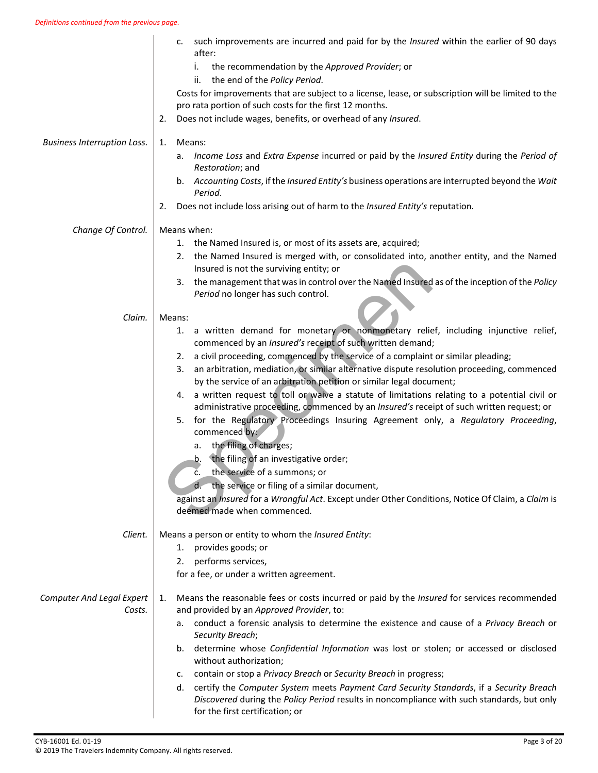|                                            | such improvements are incurred and paid for by the <i>Insured</i> within the earlier of 90 days<br>c.<br>after:                                                                                                                |
|--------------------------------------------|--------------------------------------------------------------------------------------------------------------------------------------------------------------------------------------------------------------------------------|
|                                            | the recommendation by the Approved Provider; or<br>i.                                                                                                                                                                          |
|                                            | ii.<br>the end of the Policy Period.                                                                                                                                                                                           |
|                                            | Costs for improvements that are subject to a license, lease, or subscription will be limited to the<br>pro rata portion of such costs for the first 12 months.                                                                 |
|                                            | Does not include wages, benefits, or overhead of any Insured.<br>2.                                                                                                                                                            |
| <b>Business Interruption Loss.</b>         | Means:<br>1.                                                                                                                                                                                                                   |
|                                            | Income Loss and Extra Expense incurred or paid by the Insured Entity during the Period of<br>a.<br>Restoration; and                                                                                                            |
|                                            | b. Accounting Costs, if the Insured Entity's business operations are interrupted beyond the Wait<br>Period.                                                                                                                    |
|                                            | Does not include loss arising out of harm to the Insured Entity's reputation.<br>2.                                                                                                                                            |
| Change Of Control.                         | Means when:                                                                                                                                                                                                                    |
|                                            | 1. the Named Insured is, or most of its assets are, acquired;                                                                                                                                                                  |
|                                            | the Named Insured is merged with, or consolidated into, another entity, and the Named<br>2.<br>Insured is not the surviving entity; or                                                                                         |
|                                            | 3. the management that was in control over the Named Insured as of the inception of the Policy<br>Period no longer has such control.                                                                                           |
|                                            |                                                                                                                                                                                                                                |
| Claim.                                     | Means:                                                                                                                                                                                                                         |
|                                            | a written demand for monetary or nonmonetary relief, including injunctive relief,<br>1.<br>commenced by an Insured's receipt of such written demand;                                                                           |
|                                            | a civil proceeding, commenced by the service of a complaint or similar pleading;<br>2.                                                                                                                                         |
|                                            | an arbitration, mediation, or similar alternative dispute resolution proceeding, commenced<br>3.<br>by the service of an arbitration petition or similar legal document;                                                       |
|                                            | a written request to toll or waive a statute of limitations relating to a potential civil or<br>4.<br>administrative proceeding, commenced by an Insured's receipt of such written request; or                                 |
|                                            | for the Regulatory Proceedings Insuring Agreement only, a Regulatory Proceeding,<br>5.<br>commenced by:                                                                                                                        |
|                                            | the filing of charges;<br>а.                                                                                                                                                                                                   |
|                                            | the filing of an investigative order;<br>b.                                                                                                                                                                                    |
|                                            | the service of a summons; or<br>Ċ.                                                                                                                                                                                             |
|                                            | the service or filing of a similar document,                                                                                                                                                                                   |
|                                            | against an Insured for a Wrongful Act. Except under Other Conditions, Notice Of Claim, a Claim is<br>deemed made when commenced.                                                                                               |
| Client.                                    | Means a person or entity to whom the Insured Entity:                                                                                                                                                                           |
|                                            | provides goods; or<br>1.                                                                                                                                                                                                       |
|                                            | 2. performs services,                                                                                                                                                                                                          |
|                                            | for a fee, or under a written agreement.                                                                                                                                                                                       |
| <b>Computer And Legal Expert</b><br>Costs. | Means the reasonable fees or costs incurred or paid by the <i>Insured</i> for services recommended<br>1.<br>and provided by an Approved Provider, to:                                                                          |
|                                            | conduct a forensic analysis to determine the existence and cause of a Privacy Breach or<br>а.<br>Security Breach;                                                                                                              |
|                                            | determine whose Confidential Information was lost or stolen; or accessed or disclosed<br>b.<br>without authorization;                                                                                                          |
|                                            | contain or stop a Privacy Breach or Security Breach in progress;<br>c.                                                                                                                                                         |
|                                            | certify the Computer System meets Payment Card Security Standards, if a Security Breach<br>d.<br>Discovered during the Policy Period results in noncompliance with such standards, but only<br>for the first certification; or |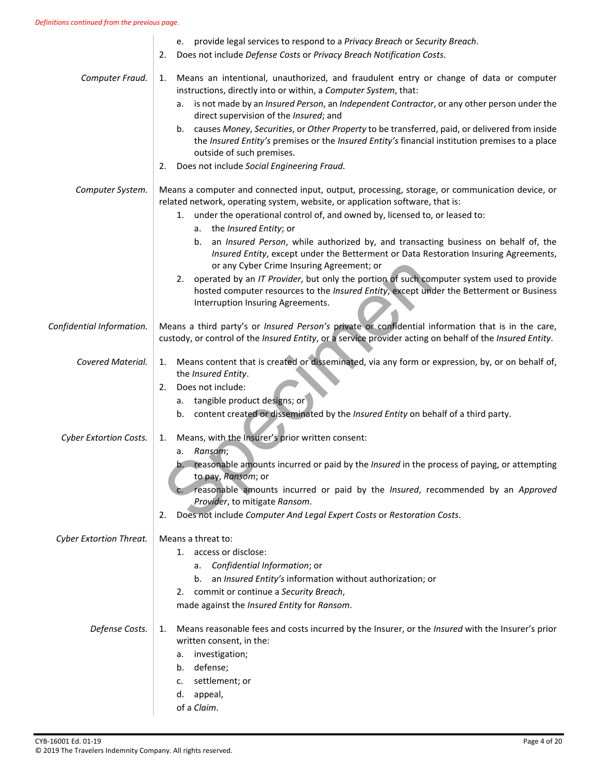|                           | e. provide legal services to respond to a Privacy Breach or Security Breach.<br>Does not include Defense Costs or Privacy Breach Notification Costs.<br>2.                                                                                                         |
|---------------------------|--------------------------------------------------------------------------------------------------------------------------------------------------------------------------------------------------------------------------------------------------------------------|
| Computer Fraud.           | Means an intentional, unauthorized, and fraudulent entry or change of data or computer<br>1.<br>instructions, directly into or within, a Computer System, that:                                                                                                    |
|                           | is not made by an <i>Insured Person</i> , an <i>Independent Contractor</i> , or any other person under the<br>а.<br>direct supervision of the Insured; and                                                                                                         |
|                           | b. causes Money, Securities, or Other Property to be transferred, paid, or delivered from inside<br>the Insured Entity's premises or the Insured Entity's financial institution premises to a place<br>outside of such premises.                                   |
|                           | Does not include Social Engineering Fraud.<br>2.                                                                                                                                                                                                                   |
| Computer System.          | Means a computer and connected input, output, processing, storage, or communication device, or<br>related network, operating system, website, or application software, that is:                                                                                    |
|                           | under the operational control of, and owned by, licensed to, or leased to:<br>1.                                                                                                                                                                                   |
|                           | a. the <i>Insured Entity</i> ; or<br>an Insured Person, while authorized by, and transacting business on behalf of, the<br>b.<br>Insured Entity, except under the Betterment or Data Restoration Insuring Agreements,<br>or any Cyber Crime Insuring Agreement; or |
|                           | 2. operated by an IT Provider, but only the portion of such computer system used to provide<br>hosted computer resources to the Insured Entity, except under the Betterment or Business<br>Interruption Insuring Agreements.                                       |
| Confidential Information. | Means a third party's or Insured Person's private or confidential information that is in the care,<br>custody, or control of the Insured Entity, or a service provider acting on behalf of the Insured Entity.                                                     |
| Covered Material.         | Means content that is created or disseminated, via any form or expression, by, or on behalf of,<br>1.<br>the Insured Entity.                                                                                                                                       |
|                           | Does not include:<br>2.                                                                                                                                                                                                                                            |
|                           | a. tangible product designs; or<br>b. content created or disseminated by the Insured Entity on behalf of a third party.                                                                                                                                            |
|                           |                                                                                                                                                                                                                                                                    |
| Cyber Extortion Costs.    | Means, with the Insurer's prior written consent:<br>1.<br>a. Ransom;                                                                                                                                                                                               |
|                           | b. reasonable amounts incurred or paid by the Insured in the process of paying, or attempting<br>to pay, Ransom; or                                                                                                                                                |
|                           | reasonable amounts incurred or paid by the Insured, recommended by an Approved<br>Provider, to mitigate Ransom.                                                                                                                                                    |
|                           | Does not include Computer And Legal Expert Costs or Restoration Costs.<br>2.                                                                                                                                                                                       |
| Cyber Extortion Threat.   | Means a threat to:                                                                                                                                                                                                                                                 |
|                           | access or disclose:<br>1.                                                                                                                                                                                                                                          |
|                           | Confidential Information; or<br>а.                                                                                                                                                                                                                                 |
|                           | an Insured Entity's information without authorization; or<br>b.                                                                                                                                                                                                    |
|                           | commit or continue a Security Breach,<br>2.                                                                                                                                                                                                                        |
|                           | made against the Insured Entity for Ransom.                                                                                                                                                                                                                        |
| Defense Costs.            | Means reasonable fees and costs incurred by the Insurer, or the Insured with the Insurer's prior<br>1.<br>written consent, in the:                                                                                                                                 |
|                           | investigation;<br>а.                                                                                                                                                                                                                                               |
|                           | b. defense;                                                                                                                                                                                                                                                        |
|                           | settlement; or<br>c.                                                                                                                                                                                                                                               |
|                           | appeal,<br>d.                                                                                                                                                                                                                                                      |
|                           | of a Claim.                                                                                                                                                                                                                                                        |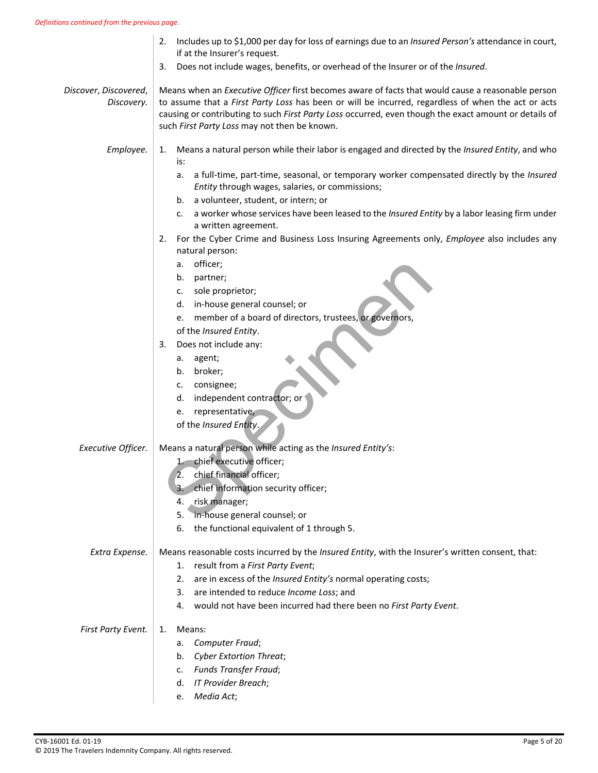|                                     | Includes up to \$1,000 per day for loss of earnings due to an Insured Person's attendance in court,<br>2.<br>if at the Insurer's request.                                                                                                                                                                                                                        |
|-------------------------------------|------------------------------------------------------------------------------------------------------------------------------------------------------------------------------------------------------------------------------------------------------------------------------------------------------------------------------------------------------------------|
|                                     | Does not include wages, benefits, or overhead of the Insurer or of the Insured.<br>3.                                                                                                                                                                                                                                                                            |
| Discover, Discovered,<br>Discovery. | Means when an Executive Officer first becomes aware of facts that would cause a reasonable person<br>to assume that a First Party Loss has been or will be incurred, regardless of when the act or acts<br>causing or contributing to such First Party Loss occurred, even though the exact amount or details of<br>such First Party Loss may not then be known. |
| Employee.                           | Means a natural person while their labor is engaged and directed by the Insured Entity, and who<br>1.<br>is:                                                                                                                                                                                                                                                     |
|                                     | a full-time, part-time, seasonal, or temporary worker compensated directly by the Insured<br>a.<br>Entity through wages, salaries, or commissions;                                                                                                                                                                                                               |
|                                     | a volunteer, student, or intern; or<br>b.                                                                                                                                                                                                                                                                                                                        |
|                                     | a worker whose services have been leased to the Insured Entity by a labor leasing firm under<br>c.<br>a written agreement.                                                                                                                                                                                                                                       |
|                                     | For the Cyber Crime and Business Loss Insuring Agreements only, Employee also includes any<br>2.<br>natural person:                                                                                                                                                                                                                                              |
|                                     | officer;<br>а.                                                                                                                                                                                                                                                                                                                                                   |
|                                     | b. partner;                                                                                                                                                                                                                                                                                                                                                      |
|                                     | sole proprietor;<br>c.                                                                                                                                                                                                                                                                                                                                           |
|                                     | d. in-house general counsel; or                                                                                                                                                                                                                                                                                                                                  |
|                                     | member of a board of directors, trustees, or governors,<br>е.<br>of the Insured Entity.                                                                                                                                                                                                                                                                          |
|                                     | Does not include any:<br>3.                                                                                                                                                                                                                                                                                                                                      |
|                                     | agent;<br>а.                                                                                                                                                                                                                                                                                                                                                     |
|                                     | broker;<br>b.                                                                                                                                                                                                                                                                                                                                                    |
|                                     | consignee;<br>c.                                                                                                                                                                                                                                                                                                                                                 |
|                                     | independent contractor; or<br>d.                                                                                                                                                                                                                                                                                                                                 |
|                                     | representative,<br>е.                                                                                                                                                                                                                                                                                                                                            |
|                                     | of the Insured Entity.                                                                                                                                                                                                                                                                                                                                           |
| Executive Officer.                  | Means a natural person while acting as the Insured Entity's:                                                                                                                                                                                                                                                                                                     |
|                                     | 1. chief executive officer;                                                                                                                                                                                                                                                                                                                                      |
|                                     | chief financial officer;<br>2.                                                                                                                                                                                                                                                                                                                                   |
|                                     | 3. chief information security officer;                                                                                                                                                                                                                                                                                                                           |
|                                     | 4. risk manager;                                                                                                                                                                                                                                                                                                                                                 |
|                                     | 5. in-house general counsel; or                                                                                                                                                                                                                                                                                                                                  |
|                                     | 6. the functional equivalent of 1 through 5.                                                                                                                                                                                                                                                                                                                     |
| Extra Expense.                      | Means reasonable costs incurred by the Insured Entity, with the Insurer's written consent, that:                                                                                                                                                                                                                                                                 |
|                                     | result from a First Party Event;<br>1.                                                                                                                                                                                                                                                                                                                           |
|                                     | are in excess of the Insured Entity's normal operating costs;<br>2.                                                                                                                                                                                                                                                                                              |
|                                     | are intended to reduce Income Loss; and<br>3.                                                                                                                                                                                                                                                                                                                    |
|                                     | 4. would not have been incurred had there been no First Party Event.                                                                                                                                                                                                                                                                                             |
| First Party Event.                  | Means:<br>1.                                                                                                                                                                                                                                                                                                                                                     |
|                                     | Computer Fraud;<br>а.                                                                                                                                                                                                                                                                                                                                            |
|                                     | b. Cyber Extortion Threat;                                                                                                                                                                                                                                                                                                                                       |
|                                     | c. Funds Transfer Fraud;                                                                                                                                                                                                                                                                                                                                         |
|                                     | d. IT Provider Breach;                                                                                                                                                                                                                                                                                                                                           |

e. *Media Act*;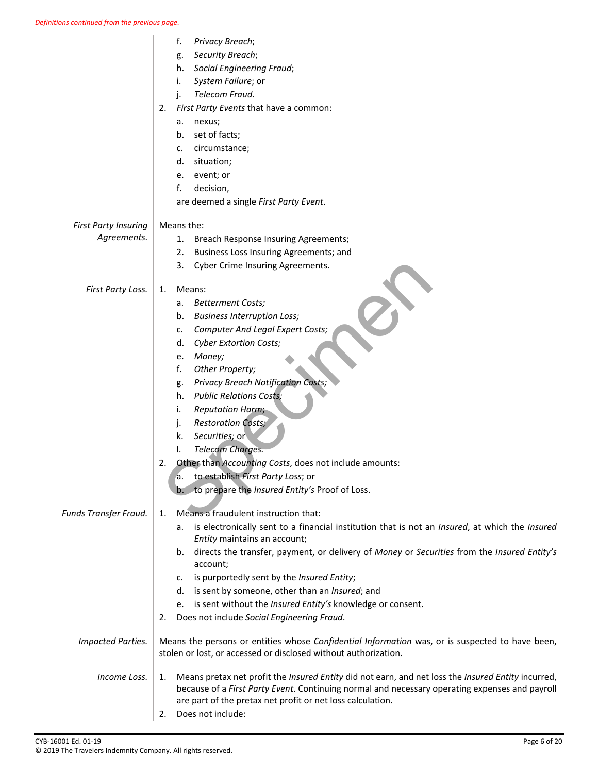|                                            | f.<br>Privacy Breach;<br>Security Breach;<br>g.<br><b>Social Engineering Fraud;</b><br>h.<br>System Failure; or<br>i.<br>Telecom Fraud.<br>j.<br>First Party Events that have a common:<br>2.<br>nexus;<br>a.                                                                                                                                                                                                                                                                                                                                                                                            |
|--------------------------------------------|----------------------------------------------------------------------------------------------------------------------------------------------------------------------------------------------------------------------------------------------------------------------------------------------------------------------------------------------------------------------------------------------------------------------------------------------------------------------------------------------------------------------------------------------------------------------------------------------------------|
|                                            | set of facts;<br>b.<br>circumstance;<br>c.<br>situation;<br>d.<br>event; or<br>e.<br>decision,<br>f.<br>are deemed a single First Party Event.                                                                                                                                                                                                                                                                                                                                                                                                                                                           |
| <b>First Party Insuring</b><br>Agreements. | Means the:<br>Breach Response Insuring Agreements;<br>1.<br>Business Loss Insuring Agreements; and<br>2.<br>3.<br>Cyber Crime Insuring Agreements.                                                                                                                                                                                                                                                                                                                                                                                                                                                       |
| First Party Loss.                          | Means:<br>1.<br><b>Betterment Costs;</b><br>a.<br><b>Business Interruption Loss;</b><br>b.<br><b>Computer And Legal Expert Costs;</b><br>c.<br><b>Cyber Extortion Costs;</b><br>d.<br>Money;<br>е.<br>f.<br>Other Property;<br>Privacy Breach Notification Costs;<br>g.<br><b>Public Relations Costs;</b><br>h.<br><b>Reputation Harm;</b><br>i.<br><b>Restoration Costs;</b><br>j.<br>Securities; or<br>k.<br>Telecom Charges.<br>I.<br>Other than Accounting Costs, does not include amounts:<br>2.<br>to establish First Party Loss; or<br>а.<br>to prepare the Insured Entity's Proof of Loss.<br>b. |
| Funds Transfer Fraud.                      | Means a fraudulent instruction that:<br>1.<br>is electronically sent to a financial institution that is not an Insured, at which the Insured<br>а.<br>Entity maintains an account;<br>directs the transfer, payment, or delivery of Money or Securities from the Insured Entity's<br>b.<br>account;<br>is purportedly sent by the Insured Entity;<br>c.<br>d. is sent by someone, other than an Insured; and<br>is sent without the Insured Entity's knowledge or consent.<br>e.<br>Does not include Social Engineering Fraud.<br>2.                                                                     |
| <b>Impacted Parties.</b>                   | Means the persons or entities whose Confidential Information was, or is suspected to have been,<br>stolen or lost, or accessed or disclosed without authorization.                                                                                                                                                                                                                                                                                                                                                                                                                                       |
| Income Loss.                               | Means pretax net profit the Insured Entity did not earn, and net loss the Insured Entity incurred,<br>1.<br>because of a First Party Event. Continuing normal and necessary operating expenses and payroll<br>are part of the pretax net profit or net loss calculation.<br>Does not include:<br>2.                                                                                                                                                                                                                                                                                                      |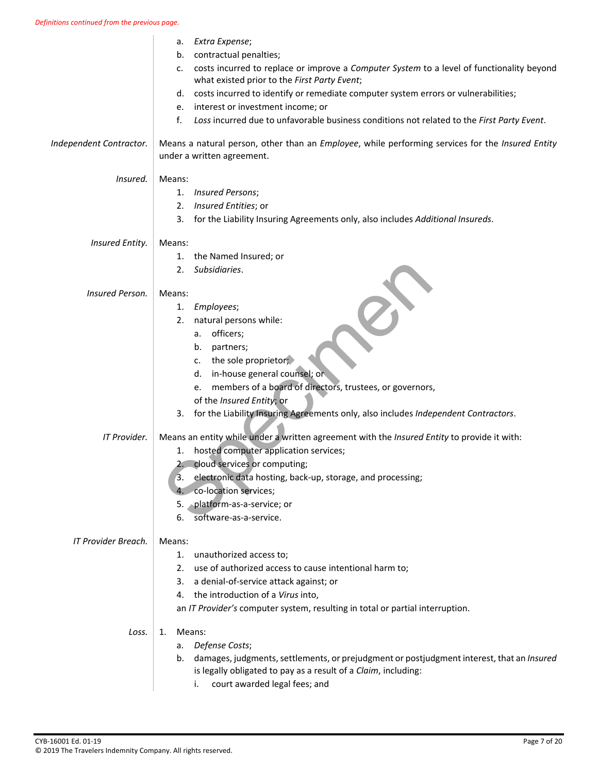|                         | Extra Expense;<br>а.                                                                                                                                           |
|-------------------------|----------------------------------------------------------------------------------------------------------------------------------------------------------------|
|                         | contractual penalties;<br>b.                                                                                                                                   |
|                         | costs incurred to replace or improve a Computer System to a level of functionality beyond<br>c.<br>what existed prior to the First Party Event;                |
|                         | costs incurred to identify or remediate computer system errors or vulnerabilities;<br>d.                                                                       |
|                         | interest or investment income; or<br>е.                                                                                                                        |
|                         | Loss incurred due to unfavorable business conditions not related to the First Party Event.<br>f.                                                               |
| Independent Contractor. | Means a natural person, other than an Employee, while performing services for the Insured Entity<br>under a written agreement.                                 |
| Insured.                | Means:                                                                                                                                                         |
|                         | 1. Insured Persons;                                                                                                                                            |
|                         | Insured Entities; or<br>2.                                                                                                                                     |
|                         | 3.<br>for the Liability Insuring Agreements only, also includes Additional Insureds.                                                                           |
| Insured Entity.         | Means:                                                                                                                                                         |
|                         | the Named Insured; or<br>1.                                                                                                                                    |
|                         | Subsidiaries.<br>2.                                                                                                                                            |
| Insured Person.         | Means:                                                                                                                                                         |
|                         | Employees;<br>1.                                                                                                                                               |
|                         | natural persons while:<br>2.                                                                                                                                   |
|                         | a. officers;                                                                                                                                                   |
|                         | b.<br>partners;                                                                                                                                                |
|                         | the sole proprietor;<br>C.                                                                                                                                     |
|                         | in-house general counsel; or<br>d.                                                                                                                             |
|                         | members of a board of directors, trustees, or governors,<br>e.                                                                                                 |
|                         | of the Insured Entity; or                                                                                                                                      |
|                         | for the Liability Insuring Agreements only, also includes Independent Contractors.<br>3.                                                                       |
| IT Provider.            | Means an entity while under a written agreement with the Insured Entity to provide it with:                                                                    |
|                         | hosted computer application services;<br>1.                                                                                                                    |
|                         | 2. cloud services or computing;                                                                                                                                |
|                         | 3.<br>electronic data hosting, back-up, storage, and processing;                                                                                               |
|                         | co-location services;<br>4.                                                                                                                                    |
|                         | 5.<br>platform-as-a-service; or                                                                                                                                |
|                         | 6.<br>software-as-a-service.                                                                                                                                   |
| IT Provider Breach.     | Means:                                                                                                                                                         |
|                         | 1.<br>unauthorized access to;                                                                                                                                  |
|                         | 2. use of authorized access to cause intentional harm to;                                                                                                      |
|                         | 3. a denial-of-service attack against; or                                                                                                                      |
|                         | the introduction of a Virus into,<br>4.                                                                                                                        |
|                         | an IT Provider's computer system, resulting in total or partial interruption.                                                                                  |
| Loss.                   | Means:<br>1.                                                                                                                                                   |
|                         | a. Defense Costs;                                                                                                                                              |
|                         | b. damages, judgments, settlements, or prejudgment or postjudgment interest, that an Insured<br>is legally obligated to pay as a result of a Claim, including: |
|                         | court awarded legal fees; and<br>i.                                                                                                                            |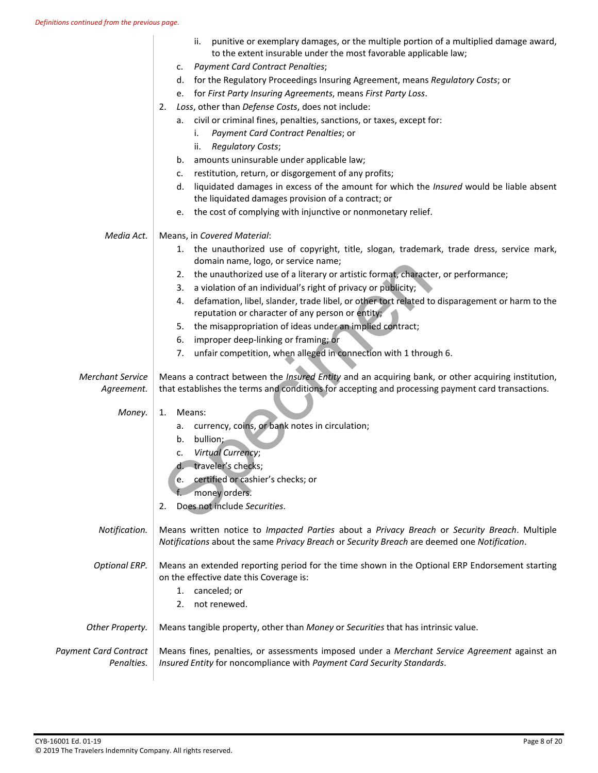|                                            | punitive or exemplary damages, or the multiple portion of a multiplied damage award,<br>ii.<br>to the extent insurable under the most favorable applicable law;<br><b>Payment Card Contract Penalties;</b><br>c.<br>for the Regulatory Proceedings Insuring Agreement, means Regulatory Costs; or<br>d.<br>e. for First Party Insuring Agreements, means First Party Loss.<br>Loss, other than Defense Costs, does not include:<br>2.<br>a. civil or criminal fines, penalties, sanctions, or taxes, except for:<br>Payment Card Contract Penalties; or<br>i.<br><b>Regulatory Costs;</b><br>ii.<br>amounts uninsurable under applicable law;<br>b.<br>restitution, return, or disgorgement of any profits;<br>c.<br>liquidated damages in excess of the amount for which the Insured would be liable absent<br>d.<br>the liquidated damages provision of a contract; or<br>the cost of complying with injunctive or nonmonetary relief.<br>e. |
|--------------------------------------------|------------------------------------------------------------------------------------------------------------------------------------------------------------------------------------------------------------------------------------------------------------------------------------------------------------------------------------------------------------------------------------------------------------------------------------------------------------------------------------------------------------------------------------------------------------------------------------------------------------------------------------------------------------------------------------------------------------------------------------------------------------------------------------------------------------------------------------------------------------------------------------------------------------------------------------------------|
| Media Act.                                 | Means, in Covered Material:                                                                                                                                                                                                                                                                                                                                                                                                                                                                                                                                                                                                                                                                                                                                                                                                                                                                                                                    |
|                                            | 1. the unauthorized use of copyright, title, slogan, trademark, trade dress, service mark,<br>domain name, logo, or service name;                                                                                                                                                                                                                                                                                                                                                                                                                                                                                                                                                                                                                                                                                                                                                                                                              |
|                                            | 2. the unauthorized use of a literary or artistic format, character, or performance;                                                                                                                                                                                                                                                                                                                                                                                                                                                                                                                                                                                                                                                                                                                                                                                                                                                           |
|                                            | a violation of an individual's right of privacy or publicity;<br>3.<br>defamation, libel, slander, trade libel, or other tort related to disparagement or harm to the                                                                                                                                                                                                                                                                                                                                                                                                                                                                                                                                                                                                                                                                                                                                                                          |
|                                            | 4.<br>reputation or character of any person or entity;                                                                                                                                                                                                                                                                                                                                                                                                                                                                                                                                                                                                                                                                                                                                                                                                                                                                                         |
|                                            | the misappropriation of ideas under an implied contract;<br>5.                                                                                                                                                                                                                                                                                                                                                                                                                                                                                                                                                                                                                                                                                                                                                                                                                                                                                 |
|                                            | improper deep-linking or framing; or<br>6.                                                                                                                                                                                                                                                                                                                                                                                                                                                                                                                                                                                                                                                                                                                                                                                                                                                                                                     |
|                                            | unfair competition, when alleged in connection with 1 through 6.<br>7.                                                                                                                                                                                                                                                                                                                                                                                                                                                                                                                                                                                                                                                                                                                                                                                                                                                                         |
| <b>Merchant Service</b><br>Agreement.      | Means a contract between the <i>Insured Entity</i> and an acquiring bank, or other acquiring institution,<br>that establishes the terms and conditions for accepting and processing payment card transactions.                                                                                                                                                                                                                                                                                                                                                                                                                                                                                                                                                                                                                                                                                                                                 |
| Money.                                     | Means:<br>1.                                                                                                                                                                                                                                                                                                                                                                                                                                                                                                                                                                                                                                                                                                                                                                                                                                                                                                                                   |
|                                            | currency, coins, or bank notes in circulation;<br>а.                                                                                                                                                                                                                                                                                                                                                                                                                                                                                                                                                                                                                                                                                                                                                                                                                                                                                           |
|                                            | bullion;<br>b.                                                                                                                                                                                                                                                                                                                                                                                                                                                                                                                                                                                                                                                                                                                                                                                                                                                                                                                                 |
|                                            | <b>Virtual Currency;</b><br>c.<br>d. traveler's checks;                                                                                                                                                                                                                                                                                                                                                                                                                                                                                                                                                                                                                                                                                                                                                                                                                                                                                        |
|                                            | certified or cashier's checks; or<br>e.                                                                                                                                                                                                                                                                                                                                                                                                                                                                                                                                                                                                                                                                                                                                                                                                                                                                                                        |
|                                            | money orders.                                                                                                                                                                                                                                                                                                                                                                                                                                                                                                                                                                                                                                                                                                                                                                                                                                                                                                                                  |
|                                            | Does not include Securities.<br>2.                                                                                                                                                                                                                                                                                                                                                                                                                                                                                                                                                                                                                                                                                                                                                                                                                                                                                                             |
| Notification.                              | Means written notice to <i>Impacted Parties</i> about a <i>Privacy Breach</i> or Security Breach. Multiple<br>Notifications about the same Privacy Breach or Security Breach are deemed one Notification.                                                                                                                                                                                                                                                                                                                                                                                                                                                                                                                                                                                                                                                                                                                                      |
| <b>Optional ERP.</b>                       | Means an extended reporting period for the time shown in the Optional ERP Endorsement starting<br>on the effective date this Coverage is:<br>canceled; or<br>1.<br>not renewed.<br>2.                                                                                                                                                                                                                                                                                                                                                                                                                                                                                                                                                                                                                                                                                                                                                          |
| Other Property.                            | Means tangible property, other than Money or Securities that has intrinsic value.                                                                                                                                                                                                                                                                                                                                                                                                                                                                                                                                                                                                                                                                                                                                                                                                                                                              |
| <b>Payment Card Contract</b><br>Penalties. | Means fines, penalties, or assessments imposed under a Merchant Service Agreement against an<br>Insured Entity for noncompliance with Payment Card Security Standards.                                                                                                                                                                                                                                                                                                                                                                                                                                                                                                                                                                                                                                                                                                                                                                         |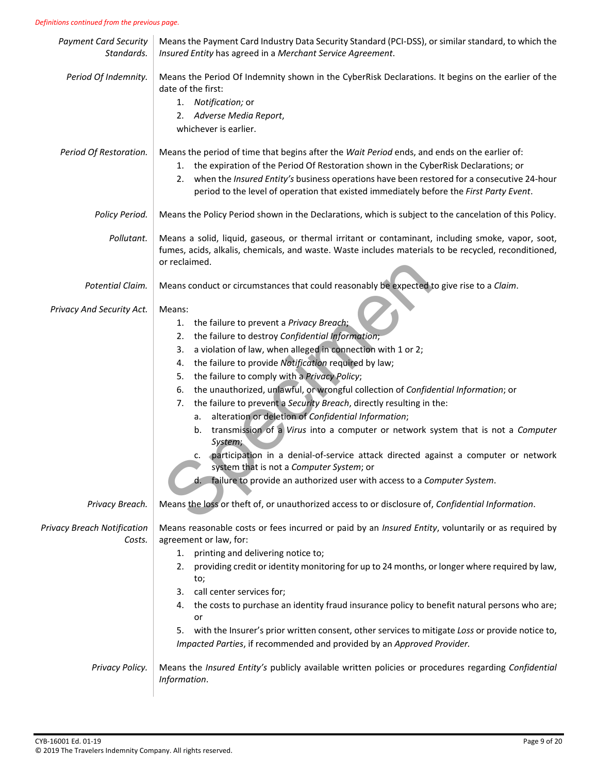#### *Definitions continued from the previous page.*

| <b>Payment Card Security</b><br>Standards. | Means the Payment Card Industry Data Security Standard (PCI-DSS), or similar standard, to which the<br>Insured Entity has agreed in a Merchant Service Agreement.                                                                                                                                                                                                                                                                                                                                                                                                                                                                                                                                                                                                                                                                                                       |
|--------------------------------------------|-------------------------------------------------------------------------------------------------------------------------------------------------------------------------------------------------------------------------------------------------------------------------------------------------------------------------------------------------------------------------------------------------------------------------------------------------------------------------------------------------------------------------------------------------------------------------------------------------------------------------------------------------------------------------------------------------------------------------------------------------------------------------------------------------------------------------------------------------------------------------|
| Period Of Indemnity.                       | Means the Period Of Indemnity shown in the CyberRisk Declarations. It begins on the earlier of the<br>date of the first:<br>1. Notification; or<br>2. Adverse Media Report,<br>whichever is earlier.                                                                                                                                                                                                                                                                                                                                                                                                                                                                                                                                                                                                                                                                    |
| Period Of Restoration.                     | Means the period of time that begins after the Wait Period ends, and ends on the earlier of:<br>the expiration of the Period Of Restoration shown in the CyberRisk Declarations; or<br>1.<br>when the Insured Entity's business operations have been restored for a consecutive 24-hour<br>2.<br>period to the level of operation that existed immediately before the First Party Event.                                                                                                                                                                                                                                                                                                                                                                                                                                                                                |
| Policy Period.                             | Means the Policy Period shown in the Declarations, which is subject to the cancelation of this Policy.                                                                                                                                                                                                                                                                                                                                                                                                                                                                                                                                                                                                                                                                                                                                                                  |
| Pollutant.                                 | Means a solid, liquid, gaseous, or thermal irritant or contaminant, including smoke, vapor, soot,<br>fumes, acids, alkalis, chemicals, and waste. Waste includes materials to be recycled, reconditioned,<br>or reclaimed.                                                                                                                                                                                                                                                                                                                                                                                                                                                                                                                                                                                                                                              |
| Potential Claim.                           | Means conduct or circumstances that could reasonably be expected to give rise to a Claim.                                                                                                                                                                                                                                                                                                                                                                                                                                                                                                                                                                                                                                                                                                                                                                               |
| Privacy And Security Act.                  | Means:<br>the failure to prevent a Privacy Breach;<br>1.<br>the failure to destroy Confidential Information;<br>2.<br>a violation of law, when alleged in connection with 1 or 2;<br>3.<br>the failure to provide Notification required by law;<br>4.<br>the failure to comply with a Privacy Policy;<br>5.<br>the unauthorized, unlawful, or wrongful collection of Confidential Information; or<br>6.<br>the failure to prevent a Security Breach, directly resulting in the:<br>7.<br>alteration or deletion of Confidential Information;<br>а.<br>transmission of a Virus into a computer or network system that is not a Computer<br>b.<br>System;<br>participation in a denial-of-service attack directed against a computer or network<br>system that is not a Computer System; or<br>d. failure to provide an authorized user with access to a Computer System. |
| Privacy Breach.                            | Means the loss or theft of, or unauthorized access to or disclosure of, Confidential Information.                                                                                                                                                                                                                                                                                                                                                                                                                                                                                                                                                                                                                                                                                                                                                                       |
| Privacy Breach Notification<br>Costs.      | Means reasonable costs or fees incurred or paid by an Insured Entity, voluntarily or as required by<br>agreement or law, for:<br>printing and delivering notice to;<br>1.<br>providing credit or identity monitoring for up to 24 months, or longer where required by law,<br>2.<br>to;<br>call center services for;<br>3.<br>the costs to purchase an identity fraud insurance policy to benefit natural persons who are;<br>4.<br>or<br>with the Insurer's prior written consent, other services to mitigate Loss or provide notice to,<br>5.<br>Impacted Parties, if recommended and provided by an Approved Provider.                                                                                                                                                                                                                                               |
| Privacy Policy.                            | Means the Insured Entity's publicly available written policies or procedures regarding Confidential<br>Information.                                                                                                                                                                                                                                                                                                                                                                                                                                                                                                                                                                                                                                                                                                                                                     |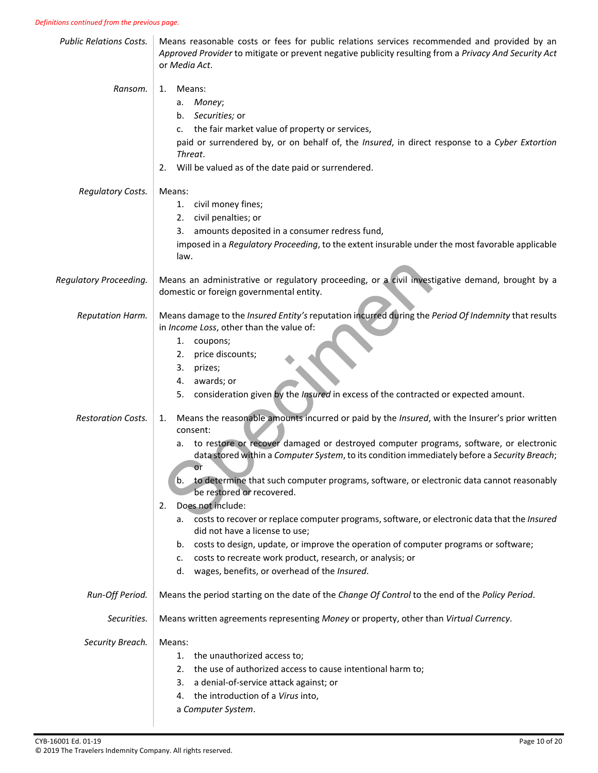| <b>Public Relations Costs.</b> | Means reasonable costs or fees for public relations services recommended and provided by an<br>Approved Provider to mitigate or prevent negative publicity resulting from a Privacy And Security Act<br>or Media Act.                                                                                                                                                                                                                                                                                                                                                                                                                                                                                                                                                                                                                         |
|--------------------------------|-----------------------------------------------------------------------------------------------------------------------------------------------------------------------------------------------------------------------------------------------------------------------------------------------------------------------------------------------------------------------------------------------------------------------------------------------------------------------------------------------------------------------------------------------------------------------------------------------------------------------------------------------------------------------------------------------------------------------------------------------------------------------------------------------------------------------------------------------|
| Ransom.                        | Means:<br>1.<br>Money;<br>а.<br>Securities; or<br>b.<br>the fair market value of property or services,<br>$C_{\bullet}$<br>paid or surrendered by, or on behalf of, the Insured, in direct response to a Cyber Extortion<br>Threat.<br>Will be valued as of the date paid or surrendered.<br>2.                                                                                                                                                                                                                                                                                                                                                                                                                                                                                                                                               |
| <b>Regulatory Costs.</b>       | Means:<br>civil money fines;<br>1.<br>civil penalties; or<br>2.<br>amounts deposited in a consumer redress fund,<br>3.<br>imposed in a Regulatory Proceeding, to the extent insurable under the most favorable applicable<br>law.                                                                                                                                                                                                                                                                                                                                                                                                                                                                                                                                                                                                             |
| Regulatory Proceeding.         | Means an administrative or regulatory proceeding, or a civil investigative demand, brought by a<br>domestic or foreign governmental entity.                                                                                                                                                                                                                                                                                                                                                                                                                                                                                                                                                                                                                                                                                                   |
| Reputation Harm.               | Means damage to the Insured Entity's reputation incurred during the Period Of Indemnity that results<br>in Income Loss, other than the value of:<br>1. coupons;<br>price discounts;<br>2.<br>prizes;<br>3.<br>awards; or<br>4.<br>consideration given by the Insured in excess of the contracted or expected amount.<br>5.                                                                                                                                                                                                                                                                                                                                                                                                                                                                                                                    |
| <b>Restoration Costs.</b>      | Means the reasonable amounts incurred or paid by the Insured, with the Insurer's prior written<br>1.<br>consent:<br>to restore or recover damaged or destroyed computer programs, software, or electronic<br>а.<br>data stored within a Computer System, to its condition immediately before a Security Breach;<br>or<br>to determine that such computer programs, software, or electronic data cannot reasonably<br>b.<br>be restored or recovered.<br>Does not include:<br>2.<br>costs to recover or replace computer programs, software, or electronic data that the Insured<br>а.<br>did not have a license to use;<br>costs to design, update, or improve the operation of computer programs or software;<br>b.<br>costs to recreate work product, research, or analysis; or<br>c.<br>wages, benefits, or overhead of the Insured.<br>d. |
| Run-Off Period.                | Means the period starting on the date of the Change Of Control to the end of the Policy Period.                                                                                                                                                                                                                                                                                                                                                                                                                                                                                                                                                                                                                                                                                                                                               |
| Securities.                    | Means written agreements representing Money or property, other than Virtual Currency.                                                                                                                                                                                                                                                                                                                                                                                                                                                                                                                                                                                                                                                                                                                                                         |
| Security Breach.               | Means:<br>the unauthorized access to;<br>1.<br>the use of authorized access to cause intentional harm to;<br>2.<br>a denial-of-service attack against; or<br>3.<br>the introduction of a Virus into,<br>4.<br>a Computer System.                                                                                                                                                                                                                                                                                                                                                                                                                                                                                                                                                                                                              |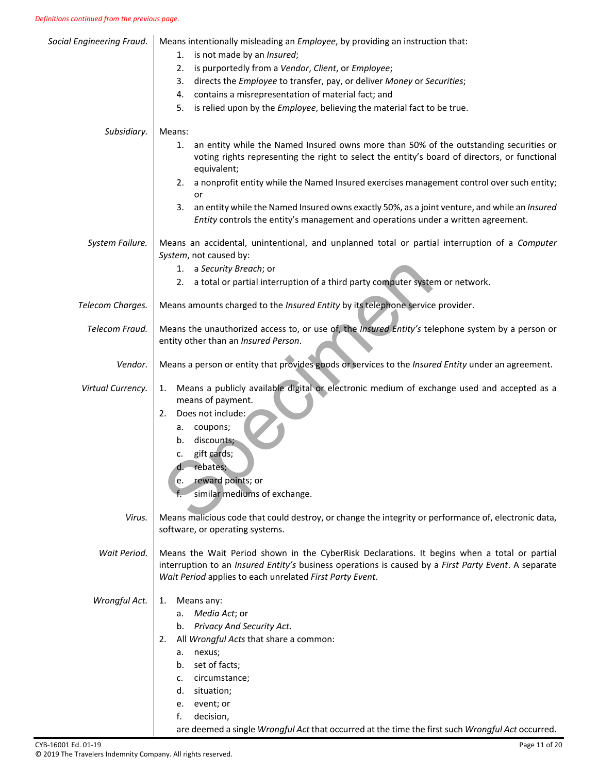| Means intentionally misleading an Employee, by providing an instruction that:                                                                                                                                                                                                                                                        |
|--------------------------------------------------------------------------------------------------------------------------------------------------------------------------------------------------------------------------------------------------------------------------------------------------------------------------------------|
| is not made by an Insured;<br>1.                                                                                                                                                                                                                                                                                                     |
| is purportedly from a Vendor, Client, or Employee;<br>2.                                                                                                                                                                                                                                                                             |
| directs the Employee to transfer, pay, or deliver Money or Securities;<br>3.                                                                                                                                                                                                                                                         |
| contains a misrepresentation of material fact; and<br>4.                                                                                                                                                                                                                                                                             |
| is relied upon by the <i>Employee</i> , believing the material fact to be true.<br>5.                                                                                                                                                                                                                                                |
| Means:                                                                                                                                                                                                                                                                                                                               |
| an entity while the Named Insured owns more than 50% of the outstanding securities or<br>1.<br>voting rights representing the right to select the entity's board of directors, or functional<br>equivalent;                                                                                                                          |
| 2. a nonprofit entity while the Named Insured exercises management control over such entity;<br>or                                                                                                                                                                                                                                   |
| an entity while the Named Insured owns exactly 50%, as a joint venture, and while an Insured<br>3.<br>Entity controls the entity's management and operations under a written agreement.                                                                                                                                              |
| Means an accidental, unintentional, and unplanned total or partial interruption of a Computer<br>System, not caused by:                                                                                                                                                                                                              |
| 1. a Security Breach; or                                                                                                                                                                                                                                                                                                             |
| 2. a total or partial interruption of a third party computer system or network.                                                                                                                                                                                                                                                      |
| Means amounts charged to the Insured Entity by its telephone service provider.                                                                                                                                                                                                                                                       |
| Means the unauthorized access to, or use of, the <i>Insured Entity's</i> telephone system by a person or<br>entity other than an Insured Person.                                                                                                                                                                                     |
| Means a person or entity that provides goods or services to the Insured Entity under an agreement.                                                                                                                                                                                                                                   |
| Means a publicly available digital or electronic medium of exchange used and accepted as a<br>1.<br>means of payment.<br>Does not include:<br>2.<br>coupons;<br>а.<br>discounts;<br>b.<br>gift cards;<br>c.<br>rebates;<br>reward points; or<br>e.<br>similar mediums of exchange.                                                   |
|                                                                                                                                                                                                                                                                                                                                      |
| Means malicious code that could destroy, or change the integrity or performance of, electronic data,<br>software, or operating systems.                                                                                                                                                                                              |
| Means the Wait Period shown in the CyberRisk Declarations. It begins when a total or partial<br>interruption to an Insured Entity's business operations is caused by a First Party Event. A separate<br>Wait Period applies to each unrelated First Party Event.                                                                     |
| Means any:<br>1.<br>a. Media Act; or<br>b. Privacy And Security Act.<br>All Wrongful Acts that share a common:<br>2.<br>a. nexus;<br>b. set of facts;<br>circumstance;<br>c.<br>d. situation;<br>e. event; or<br>decision,<br>f.<br>are deemed a single Wrongful Act that occurred at the time the first such Wrongful Act occurred. |
|                                                                                                                                                                                                                                                                                                                                      |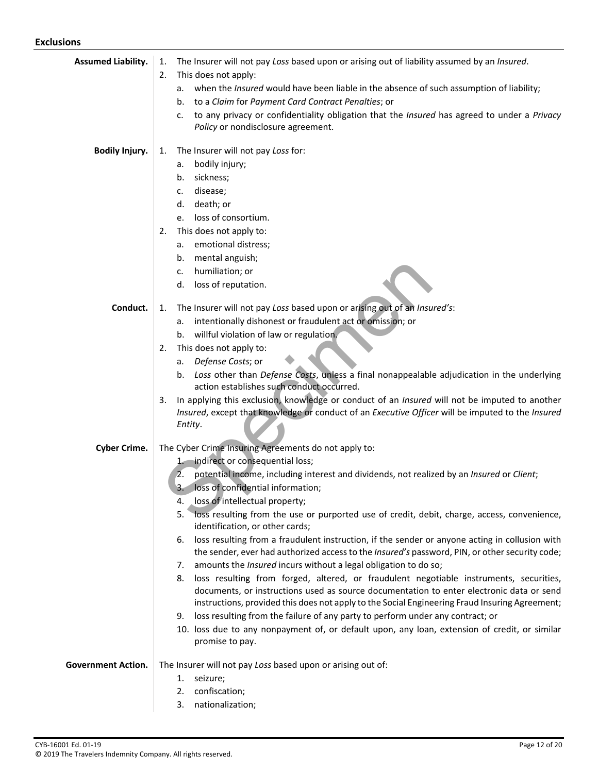| <b>Assumed Liability.</b> | The Insurer will not pay Loss based upon or arising out of liability assumed by an Insured.<br>1.                                                                                        |
|---------------------------|------------------------------------------------------------------------------------------------------------------------------------------------------------------------------------------|
|                           | This does not apply:<br>2.                                                                                                                                                               |
|                           | when the <i>Insured</i> would have been liable in the absence of such assumption of liability;<br>а.                                                                                     |
|                           | to a Claim for Payment Card Contract Penalties; or<br>b.                                                                                                                                 |
|                           | to any privacy or confidentiality obligation that the <i>Insured</i> has agreed to under a Privacy<br>c.<br>Policy or nondisclosure agreement.                                           |
| <b>Bodily Injury.</b>     | The Insurer will not pay Loss for:<br>1.                                                                                                                                                 |
|                           | bodily injury;<br>а.                                                                                                                                                                     |
|                           | sickness;<br>b.                                                                                                                                                                          |
|                           | disease;<br>c.                                                                                                                                                                           |
|                           | death; or<br>d.                                                                                                                                                                          |
|                           | loss of consortium.<br>e.                                                                                                                                                                |
|                           | This does not apply to:<br>2.<br>emotional distress;                                                                                                                                     |
|                           | а.<br>mental anguish;<br>b.                                                                                                                                                              |
|                           | humiliation; or<br>c.                                                                                                                                                                    |
|                           | loss of reputation.<br>d.                                                                                                                                                                |
| Conduct.                  | The Insurer will not pay Loss based upon or arising out of an Insured's:<br>1.                                                                                                           |
|                           | intentionally dishonest or fraudulent act or omission; or<br>а.                                                                                                                          |
|                           | b. willful violation of law or regulation.                                                                                                                                               |
|                           | This does not apply to:<br>2.                                                                                                                                                            |
|                           | Defense Costs; or<br>а.                                                                                                                                                                  |
|                           | b. Loss other than Defense Costs, unless a final nonappealable adjudication in the underlying<br>action establishes such conduct occurred.                                               |
|                           | In applying this exclusion, knowledge or conduct of an <i>Insured</i> will not be imputed to another<br>3.                                                                               |
|                           | Insured, except that knowledge or conduct of an Executive Officer will be imputed to the Insured                                                                                         |
|                           | Entity.                                                                                                                                                                                  |
| <b>Cyber Crime.</b>       | The Cyber Crime Insuring Agreements do not apply to:                                                                                                                                     |
|                           | indirect or consequential loss;<br>$1-$                                                                                                                                                  |
|                           | potential income, including interest and dividends, not realized by an Insured or Client;<br>2.                                                                                          |
|                           | loss of confidential information;<br>3.<br>loss of intellectual property;                                                                                                                |
|                           | 4.<br>loss resulting from the use or purported use of credit, debit, charge, access, convenience,<br>5.                                                                                  |
|                           | identification, or other cards;                                                                                                                                                          |
|                           | loss resulting from a fraudulent instruction, if the sender or anyone acting in collusion with<br>6.                                                                                     |
|                           | the sender, ever had authorized access to the Insured's password, PIN, or other security code;                                                                                           |
|                           | amounts the Insured incurs without a legal obligation to do so;<br>7.                                                                                                                    |
|                           | loss resulting from forged, altered, or fraudulent negotiable instruments, securities,<br>8.<br>documents, or instructions used as source documentation to enter electronic data or send |
|                           | instructions, provided this does not apply to the Social Engineering Fraud Insuring Agreement;                                                                                           |
|                           | loss resulting from the failure of any party to perform under any contract; or<br>9.                                                                                                     |
|                           | 10. loss due to any nonpayment of, or default upon, any loan, extension of credit, or similar                                                                                            |
|                           | promise to pay.                                                                                                                                                                          |
| <b>Government Action.</b> | The Insurer will not pay Loss based upon or arising out of:                                                                                                                              |
|                           | seizure;<br>1.                                                                                                                                                                           |
|                           | confiscation;<br>2.                                                                                                                                                                      |
|                           | nationalization;<br>3.                                                                                                                                                                   |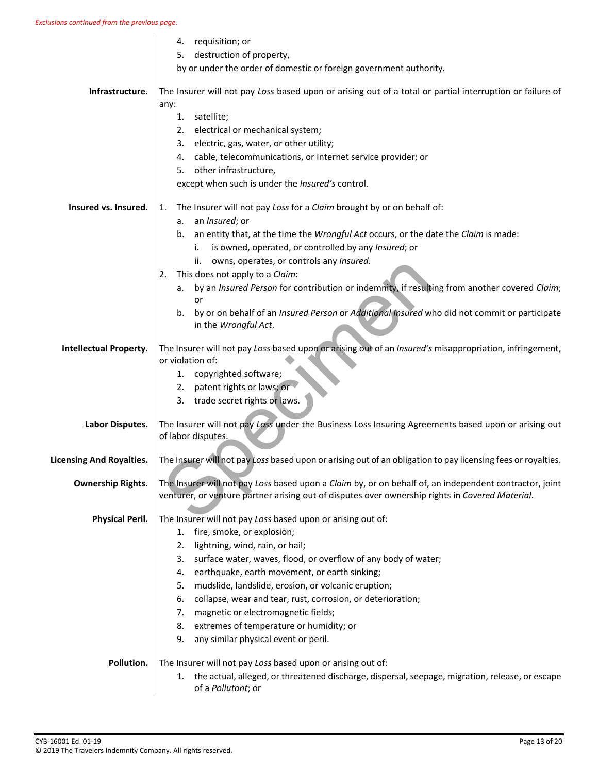|                                 | requisition; or<br>4.                                                                                                                                                                                     |
|---------------------------------|-----------------------------------------------------------------------------------------------------------------------------------------------------------------------------------------------------------|
|                                 | destruction of property,<br>5.                                                                                                                                                                            |
|                                 | by or under the order of domestic or foreign government authority.                                                                                                                                        |
| Infrastructure.                 | The Insurer will not pay Loss based upon or arising out of a total or partial interruption or failure of<br>any:                                                                                          |
|                                 | satellite;<br>1.                                                                                                                                                                                          |
|                                 | electrical or mechanical system;<br>2.                                                                                                                                                                    |
|                                 | electric, gas, water, or other utility;<br>3.                                                                                                                                                             |
|                                 | cable, telecommunications, or Internet service provider; or<br>4.                                                                                                                                         |
|                                 | other infrastructure,<br>5.                                                                                                                                                                               |
|                                 | except when such is under the Insured's control.                                                                                                                                                          |
| Insured vs. Insured.            | The Insurer will not pay Loss for a Claim brought by or on behalf of:<br>1.                                                                                                                               |
|                                 | an Insured; or<br>а.                                                                                                                                                                                      |
|                                 | an entity that, at the time the Wrongful Act occurs, or the date the Claim is made:<br>b.                                                                                                                 |
|                                 | is owned, operated, or controlled by any Insured; or<br>i.                                                                                                                                                |
|                                 | owns, operates, or controls any Insured.<br>ii.                                                                                                                                                           |
|                                 | This does not apply to a Claim:<br>2.                                                                                                                                                                     |
|                                 | by an Insured Person for contribution or indemnity, if resulting from another covered Claim;<br>a.                                                                                                        |
|                                 | or<br>by or on behalf of an Insured Person or Additional Insured who did not commit or participate                                                                                                        |
|                                 | b.<br>in the Wrongful Act.                                                                                                                                                                                |
| <b>Intellectual Property.</b>   | The Insurer will not pay Loss based upon or arising out of an Insured's misappropriation, infringement,<br>or violation of:                                                                               |
|                                 | copyrighted software;<br>1.                                                                                                                                                                               |
|                                 | patent rights or laws; or<br>2.                                                                                                                                                                           |
|                                 | trade secret rights or laws.<br>3.                                                                                                                                                                        |
| Labor Disputes.                 | The Insurer will not pay Loss under the Business Loss Insuring Agreements based upon or arising out<br>of labor disputes.                                                                                 |
| <b>Licensing And Royalties.</b> | The Insurer will not pay Loss based upon or arising out of an obligation to pay licensing fees or royalties.                                                                                              |
| <b>Ownership Rights.</b>        | The Insurer will not pay Loss based upon a Claim by, or on behalf of, an independent contractor, joint<br>venturer, or venture partner arising out of disputes over ownership rights in Covered Material. |
| <b>Physical Peril.</b>          | The Insurer will not pay Loss based upon or arising out of:                                                                                                                                               |
|                                 | fire, smoke, or explosion;<br>1.                                                                                                                                                                          |
|                                 | lightning, wind, rain, or hail;<br>2.                                                                                                                                                                     |
|                                 | surface water, waves, flood, or overflow of any body of water;<br>3.                                                                                                                                      |
|                                 | earthquake, earth movement, or earth sinking;<br>4.                                                                                                                                                       |
|                                 | mudslide, landslide, erosion, or volcanic eruption;<br>5.                                                                                                                                                 |
|                                 | 6.<br>collapse, wear and tear, rust, corrosion, or deterioration;                                                                                                                                         |
|                                 | magnetic or electromagnetic fields;<br>7.                                                                                                                                                                 |
|                                 | 8.<br>extremes of temperature or humidity; or                                                                                                                                                             |
|                                 | 9.<br>any similar physical event or peril.                                                                                                                                                                |
| Pollution.                      | The Insurer will not pay Loss based upon or arising out of:                                                                                                                                               |
|                                 | the actual, alleged, or threatened discharge, dispersal, seepage, migration, release, or escape<br>1.                                                                                                     |
|                                 | of a Pollutant; or                                                                                                                                                                                        |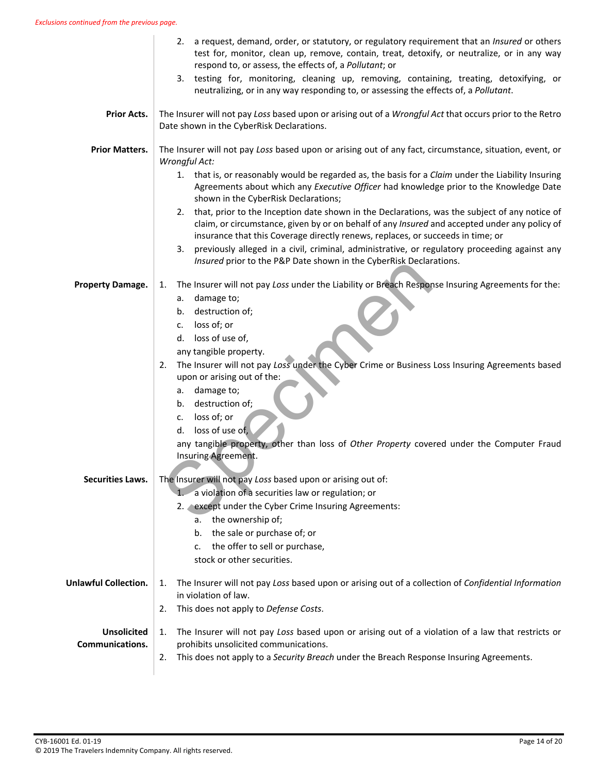|                                              | 2. a request, demand, order, or statutory, or regulatory requirement that an Insured or others<br>test for, monitor, clean up, remove, contain, treat, detoxify, or neutralize, or in any way<br>respond to, or assess, the effects of, a Pollutant; or                                                                                                                                                                                                                                                                                                                   |
|----------------------------------------------|---------------------------------------------------------------------------------------------------------------------------------------------------------------------------------------------------------------------------------------------------------------------------------------------------------------------------------------------------------------------------------------------------------------------------------------------------------------------------------------------------------------------------------------------------------------------------|
|                                              | testing for, monitoring, cleaning up, removing, containing, treating, detoxifying, or<br>3.<br>neutralizing, or in any way responding to, or assessing the effects of, a Pollutant.                                                                                                                                                                                                                                                                                                                                                                                       |
| <b>Prior Acts.</b>                           | The Insurer will not pay Loss based upon or arising out of a Wrongful Act that occurs prior to the Retro<br>Date shown in the CyberRisk Declarations.                                                                                                                                                                                                                                                                                                                                                                                                                     |
| <b>Prior Matters.</b>                        | The Insurer will not pay Loss based upon or arising out of any fact, circumstance, situation, event, or<br>Wrongful Act:                                                                                                                                                                                                                                                                                                                                                                                                                                                  |
|                                              | 1. that is, or reasonably would be regarded as, the basis for a Claim under the Liability Insuring<br>Agreements about which any Executive Officer had knowledge prior to the Knowledge Date<br>shown in the CyberRisk Declarations;                                                                                                                                                                                                                                                                                                                                      |
|                                              | 2. that, prior to the Inception date shown in the Declarations, was the subject of any notice of<br>claim, or circumstance, given by or on behalf of any Insured and accepted under any policy of<br>insurance that this Coverage directly renews, replaces, or succeeds in time; or                                                                                                                                                                                                                                                                                      |
|                                              | previously alleged in a civil, criminal, administrative, or regulatory proceeding against any<br>3.<br>Insured prior to the P&P Date shown in the CyberRisk Declarations.                                                                                                                                                                                                                                                                                                                                                                                                 |
| <b>Property Damage.</b>                      | The Insurer will not pay Loss under the Liability or Breach Response Insuring Agreements for the:<br>1.<br>a. damage to;<br>destruction of;<br>b.<br>loss of; or<br>c.<br>d. loss of use of,<br>any tangible property.<br>The Insurer will not pay Loss under the Cyber Crime or Business Loss Insuring Agreements based<br>2.<br>upon or arising out of the:<br>a. damage to;<br>destruction of;<br>b.<br>loss of; or<br>c.<br>loss of use of,<br>d.<br>any tangible property, other than loss of Other Property covered under the Computer Fraud<br>Insuring Agreement. |
| <b>Securities Laws.</b>                      | The Insurer will not pay Loss based upon or arising out of:<br>a violation of a securities law or regulation; or<br>2. except under the Cyber Crime Insuring Agreements:<br>a. the ownership of;<br>the sale or purchase of; or<br>b.<br>the offer to sell or purchase,<br>c.<br>stock or other securities.                                                                                                                                                                                                                                                               |
| <b>Unlawful Collection.</b>                  | The Insurer will not pay Loss based upon or arising out of a collection of Confidential Information<br>1.<br>in violation of law.                                                                                                                                                                                                                                                                                                                                                                                                                                         |
| <b>Unsolicited</b><br><b>Communications.</b> | This does not apply to Defense Costs.<br>2.<br>1.<br>The Insurer will not pay Loss based upon or arising out of a violation of a law that restricts or<br>prohibits unsolicited communications.<br>This does not apply to a Security Breach under the Breach Response Insuring Agreements.<br>2.                                                                                                                                                                                                                                                                          |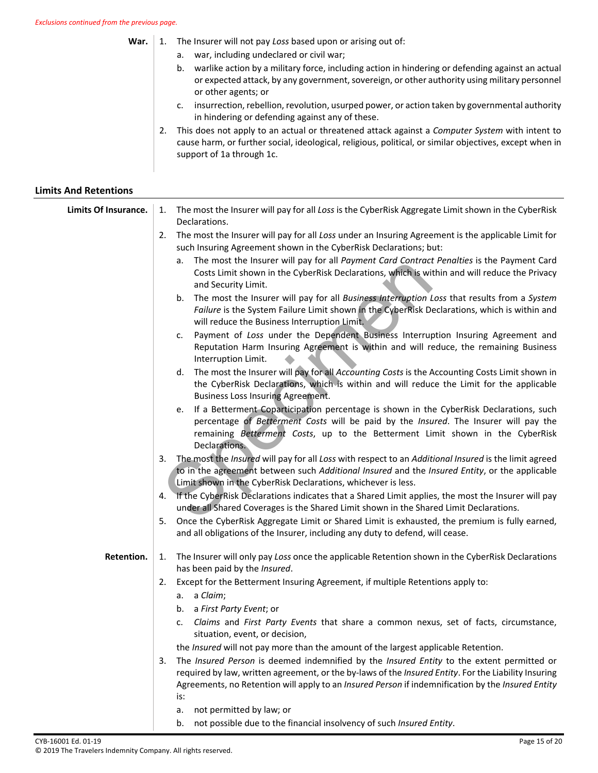**War.** | 1. The Insurer will not pay Loss based upon or arising out of:

- a. war, including undeclared or civil war;
- b. warlike action by a military force, including action in hindering or defending against an actual or expected attack, by any government, sovereign, or other authority using military personnel or other agents; or
- c. insurrection, rebellion, revolution, usurped power, or action taken by governmental authority in hindering or defending against any of these.
- 2. This does not apply to an actual or threatened attack against a *Computer System* with intent to cause harm, or further social, ideological, religious, political, or similar objectives, except when in support of 1a through 1c.

### **Limits And Retentions**

| Limits Of Insurance. | The most the Insurer will pay for all Loss is the CyberRisk Aggregate Limit shown in the CyberRisk<br>1.<br>Declarations.                                                                                                                                                                                           |
|----------------------|---------------------------------------------------------------------------------------------------------------------------------------------------------------------------------------------------------------------------------------------------------------------------------------------------------------------|
|                      | The most the Insurer will pay for all Loss under an Insuring Agreement is the applicable Limit for<br>2.<br>such Insuring Agreement shown in the CyberRisk Declarations; but:                                                                                                                                       |
|                      | The most the Insurer will pay for all Payment Card Contract Penalties is the Payment Card<br>а.<br>Costs Limit shown in the CyberRisk Declarations, which is within and will reduce the Privacy<br>and Security Limit.                                                                                              |
|                      | The most the Insurer will pay for all Business Interruption Loss that results from a System<br>b.<br>Failure is the System Failure Limit shown in the CyberRisk Declarations, which is within and<br>will reduce the Business Interruption Limit.                                                                   |
|                      | Payment of Loss under the Dependent Business Interruption Insuring Agreement and<br>c.<br>Reputation Harm Insuring Agreement is within and will reduce, the remaining Business<br>Interruption Limit.                                                                                                               |
|                      | The most the Insurer will pay for all Accounting Costs is the Accounting Costs Limit shown in<br>d.<br>the CyberRisk Declarations, which is within and will reduce the Limit for the applicable<br>Business Loss Insuring Agreement.                                                                                |
|                      | If a Betterment Coparticipation percentage is shown in the CyberRisk Declarations, such<br>е.<br>percentage of Betterment Costs will be paid by the Insured. The Insurer will pay the<br>remaining Betterment Costs, up to the Betterment Limit shown in the CyberRisk<br>Declarations.                             |
|                      | The most the Insured will pay for all Loss with respect to an Additional Insured is the limit agreed<br>3.<br>to in the agreement between such Additional Insured and the Insured Entity, or the applicable<br>Limit shown in the CyberRisk Declarations, whichever is less.                                        |
|                      | If the CyberRisk Declarations indicates that a Shared Limit applies, the most the Insurer will pay<br>4.<br>under all Shared Coverages is the Shared Limit shown in the Shared Limit Declarations.                                                                                                                  |
|                      | Once the CyberRisk Aggregate Limit or Shared Limit is exhausted, the premium is fully earned,<br>5.<br>and all obligations of the Insurer, including any duty to defend, will cease.                                                                                                                                |
| Retention.           | The Insurer will only pay Loss once the applicable Retention shown in the CyberRisk Declarations<br>1.<br>has been paid by the Insured.                                                                                                                                                                             |
|                      | Except for the Betterment Insuring Agreement, if multiple Retentions apply to:<br>2.<br>a. a Claim;<br>b. a First Party Event; or                                                                                                                                                                                   |
|                      | Claims and First Party Events that share a common nexus, set of facts, circumstance,<br>c.<br>situation, event, or decision,                                                                                                                                                                                        |
|                      | the Insured will not pay more than the amount of the largest applicable Retention.                                                                                                                                                                                                                                  |
|                      | The Insured Person is deemed indemnified by the Insured Entity to the extent permitted or<br>3.<br>required by law, written agreement, or the by-laws of the Insured Entity. For the Liability Insuring<br>Agreements, no Retention will apply to an Insured Person if indemnification by the Insured Entity<br>is: |
|                      | not permitted by law; or<br>a.                                                                                                                                                                                                                                                                                      |

b. not possible due to the financial insolvency of such *Insured Entity*.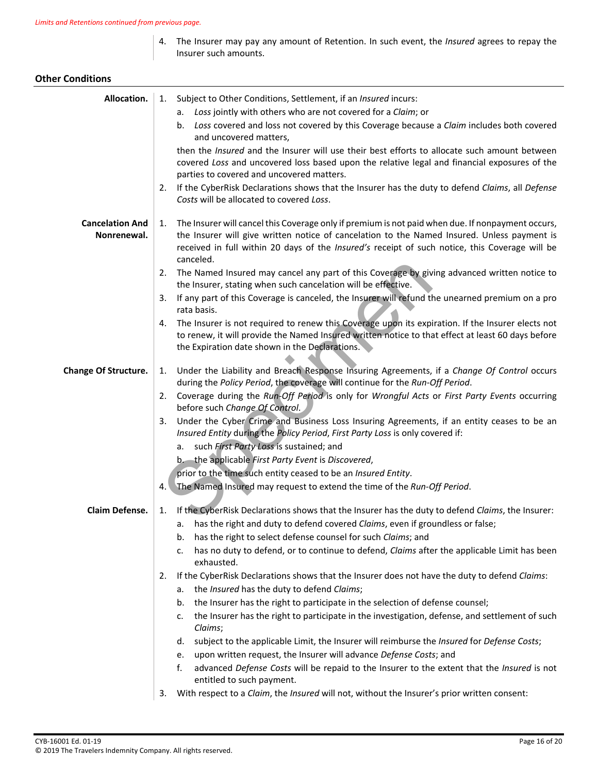4. The Insurer may pay any amount of Retention. In such event, the *Insured* agrees to repay the Insurer such amounts.

### **Other Conditions**

| Allocation.                           | 1. Subject to Other Conditions, Settlement, if an <i>Insured</i> incurs:<br>Loss jointly with others who are not covered for a Claim; or<br>а.<br>Loss covered and loss not covered by this Coverage because a Claim includes both covered<br>b.<br>and uncovered matters,<br>then the <i>Insured</i> and the Insurer will use their best efforts to allocate such amount between<br>covered Loss and uncovered loss based upon the relative legal and financial exposures of the<br>parties to covered and uncovered matters.<br>If the CyberRisk Declarations shows that the Insurer has the duty to defend Claims, all Defense<br>2.<br>Costs will be allocated to covered Loss.                                                        |
|---------------------------------------|--------------------------------------------------------------------------------------------------------------------------------------------------------------------------------------------------------------------------------------------------------------------------------------------------------------------------------------------------------------------------------------------------------------------------------------------------------------------------------------------------------------------------------------------------------------------------------------------------------------------------------------------------------------------------------------------------------------------------------------------|
| <b>Cancelation And</b><br>Nonrenewal. | The Insurer will cancel this Coverage only if premium is not paid when due. If nonpayment occurs,<br>1.<br>the Insurer will give written notice of cancelation to the Named Insured. Unless payment is<br>received in full within 20 days of the Insured's receipt of such notice, this Coverage will be<br>canceled.<br>The Named Insured may cancel any part of this Coverage by giving advanced written notice to<br>2.<br>the Insurer, stating when such cancelation will be effective.<br>If any part of this Coverage is canceled, the Insurer will refund the unearned premium on a pro<br>3.<br>rata basis.<br>The Insurer is not required to renew this Coverage upon its expiration. If the Insurer elects not<br>4.             |
| <b>Change Of Structure.</b>           | to renew, it will provide the Named Insured written notice to that effect at least 60 days before<br>the Expiration date shown in the Declarations.<br>Under the Liability and Breach Response Insuring Agreements, if a Change Of Control occurs<br>1.<br>during the Policy Period, the coverage will continue for the Run-Off Period.                                                                                                                                                                                                                                                                                                                                                                                                    |
|                                       | Coverage during the Run-Off Period is only for Wrongful Acts or First Party Events occurring<br>2.<br>before such Change Of Control.<br>Under the Cyber Crime and Business Loss Insuring Agreements, if an entity ceases to be an<br>3.<br>Insured Entity during the Policy Period, First Party Loss is only covered if:<br>a. such First Party Loss is sustained; and<br>b. the applicable First Party Event is Discovered,<br>prior to the time such entity ceased to be an Insured Entity.<br>The Named Insured may request to extend the time of the Run-Off Period.<br>4. \                                                                                                                                                           |
| Claim Defense.                        | 1. If the CyberRisk Declarations shows that the Insurer has the duty to defend Claims, the Insurer:<br>a. has the right and duty to defend covered Claims, even if groundless or false;<br>has the right to select defense counsel for such Claims; and<br>b.<br>has no duty to defend, or to continue to defend, Claims after the applicable Limit has been<br>c.<br>exhausted.<br>If the CyberRisk Declarations shows that the Insurer does not have the duty to defend Claims:<br>2.<br>the Insured has the duty to defend Claims;<br>а.<br>the Insurer has the right to participate in the selection of defense counsel;<br>b.<br>the Insurer has the right to participate in the investigation, defense, and settlement of such<br>c. |
|                                       | Claims;<br>subject to the applicable Limit, the Insurer will reimburse the Insured for Defense Costs;<br>d.<br>upon written request, the Insurer will advance Defense Costs; and<br>e.<br>advanced Defense Costs will be repaid to the Insurer to the extent that the Insured is not<br>f.<br>entitled to such payment.<br>With respect to a Claim, the Insured will not, without the Insurer's prior written consent:<br>3.                                                                                                                                                                                                                                                                                                               |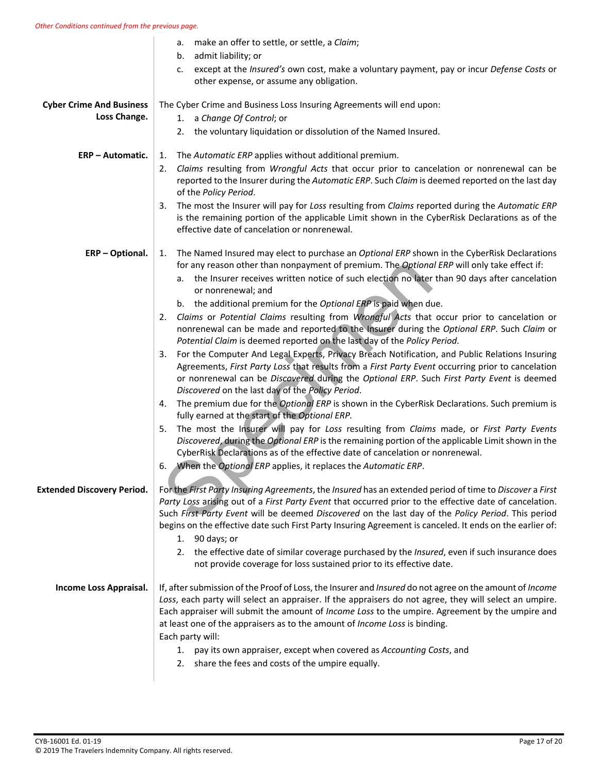|                                                 | make an offer to settle, or settle, a Claim;<br>a.                                                                                                                                                                                                                                                                                                                                                                                                       |
|-------------------------------------------------|----------------------------------------------------------------------------------------------------------------------------------------------------------------------------------------------------------------------------------------------------------------------------------------------------------------------------------------------------------------------------------------------------------------------------------------------------------|
|                                                 | admit liability; or<br>b.<br>except at the Insured's own cost, make a voluntary payment, pay or incur Defense Costs or<br>c.<br>other expense, or assume any obligation.                                                                                                                                                                                                                                                                                 |
| <b>Cyber Crime And Business</b><br>Loss Change. | The Cyber Crime and Business Loss Insuring Agreements will end upon:<br>1. a Change Of Control; or<br>2. the voluntary liquidation or dissolution of the Named Insured.                                                                                                                                                                                                                                                                                  |
| <b>ERP - Automatic.</b>                         | The Automatic ERP applies without additional premium.<br>1.<br>Claims resulting from Wrongful Acts that occur prior to cancelation or nonrenewal can be<br>2.<br>reported to the Insurer during the Automatic ERP. Such Claim is deemed reported on the last day<br>of the Policy Period.                                                                                                                                                                |
|                                                 | The most the Insurer will pay for Loss resulting from Claims reported during the Automatic ERP<br>3.<br>is the remaining portion of the applicable Limit shown in the CyberRisk Declarations as of the<br>effective date of cancelation or nonrenewal.                                                                                                                                                                                                   |
| ERP - Optional.                                 | The Named Insured may elect to purchase an Optional ERP shown in the CyberRisk Declarations<br>1.<br>for any reason other than nonpayment of premium. The Optional ERP will only take effect if:<br>a. the Insurer receives written notice of such election no later than 90 days after cancelation<br>or nonrenewal; and<br>b. the additional premium for the Optional ERP is paid when due.                                                            |
|                                                 | Claims or Potential Claims resulting from Wrongful Acts that occur prior to cancelation or<br>2.<br>nonrenewal can be made and reported to the Insurer during the Optional ERP. Such Claim or<br>Potential Claim is deemed reported on the last day of the Policy Period.                                                                                                                                                                                |
|                                                 | For the Computer And Legal Experts, Privacy Breach Notification, and Public Relations Insuring<br>3.<br>Agreements, First Party Loss that results from a First Party Event occurring prior to cancelation<br>or nonrenewal can be Discovered during the Optional ERP. Such First Party Event is deemed<br>Discovered on the last day of the Policy Period.                                                                                               |
|                                                 | The premium due for the Optional ERP is shown in the CyberRisk Declarations. Such premium is<br>4.<br>fully earned at the start of the Optional ERP.                                                                                                                                                                                                                                                                                                     |
|                                                 | The most the Insurer will pay for Loss resulting from Claims made, or First Party Events<br>5.<br>Discovered, during the Optional ERP is the remaining portion of the applicable Limit shown in the<br>CyberRisk Declarations as of the effective date of cancelation or nonrenewal.                                                                                                                                                                     |
|                                                 | When the Optional ERP applies, it replaces the Automatic ERP.<br>6.                                                                                                                                                                                                                                                                                                                                                                                      |
| <b>Extended Discovery Period.</b>               | For the First Party Insuring Agreements, the Insured has an extended period of time to Discover a First<br>Party Loss arising out of a First Party Event that occurred prior to the effective date of cancelation.<br>Such First Party Event will be deemed Discovered on the last day of the Policy Period. This period<br>begins on the effective date such First Party Insuring Agreement is canceled. It ends on the earlier of:<br>1. $90$ days; or |
|                                                 | 2. the effective date of similar coverage purchased by the Insured, even if such insurance does<br>not provide coverage for loss sustained prior to its effective date.                                                                                                                                                                                                                                                                                  |
| Income Loss Appraisal.                          | If, after submission of the Proof of Loss, the Insurer and Insured do not agree on the amount of Income<br>Loss, each party will select an appraiser. If the appraisers do not agree, they will select an umpire.<br>Each appraiser will submit the amount of Income Loss to the umpire. Agreement by the umpire and<br>at least one of the appraisers as to the amount of Income Loss is binding.<br>Each party will:                                   |
|                                                 | pay its own appraiser, except when covered as Accounting Costs, and<br>1.<br>share the fees and costs of the umpire equally.<br>2.                                                                                                                                                                                                                                                                                                                       |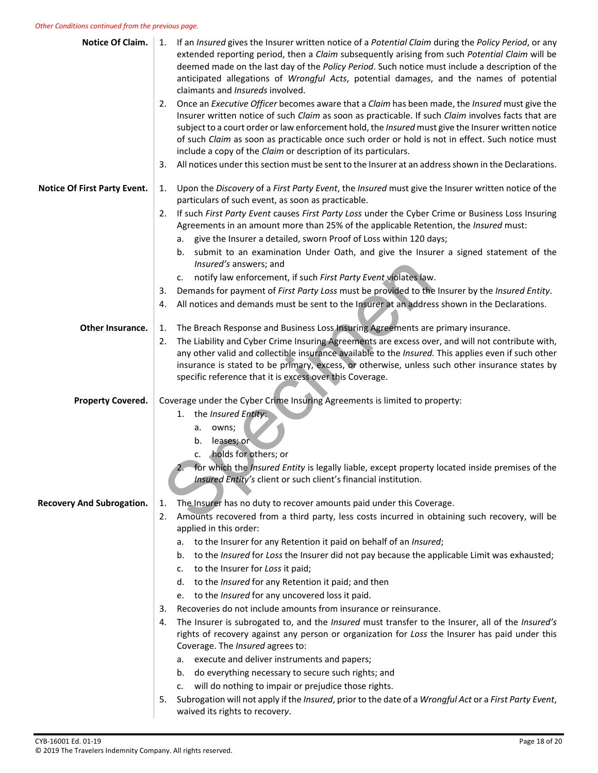#### *Other Conditions continued from the previous page.*

| Notice Of Claim.                    | If an Insured gives the Insurer written notice of a Potential Claim during the Policy Period, or any<br>1.<br>extended reporting period, then a Claim subsequently arising from such Potential Claim will be<br>deemed made on the last day of the Policy Period. Such notice must include a description of the<br>anticipated allegations of Wrongful Acts, potential damages, and the names of potential<br>claimants and Insureds involved.                                       |
|-------------------------------------|--------------------------------------------------------------------------------------------------------------------------------------------------------------------------------------------------------------------------------------------------------------------------------------------------------------------------------------------------------------------------------------------------------------------------------------------------------------------------------------|
|                                     | Once an Executive Officer becomes aware that a Claim has been made, the Insured must give the<br>2.<br>Insurer written notice of such Claim as soon as practicable. If such Claim involves facts that are<br>subject to a court order or law enforcement hold, the Insured must give the Insurer written notice<br>of such Claim as soon as practicable once such order or hold is not in effect. Such notice must<br>include a copy of the Claim or description of its particulars. |
|                                     | All notices under this section must be sent to the Insurer at an address shown in the Declarations.<br>3.                                                                                                                                                                                                                                                                                                                                                                            |
| <b>Notice Of First Party Event.</b> | Upon the Discovery of a First Party Event, the Insured must give the Insurer written notice of the<br>1.<br>particulars of such event, as soon as practicable.                                                                                                                                                                                                                                                                                                                       |
|                                     | If such First Party Event causes First Party Loss under the Cyber Crime or Business Loss Insuring<br>2.<br>Agreements in an amount more than 25% of the applicable Retention, the Insured must:<br>a. give the Insurer a detailed, sworn Proof of Loss within 120 days;                                                                                                                                                                                                              |
|                                     | submit to an examination Under Oath, and give the Insurer a signed statement of the<br>b.<br>Insured's answers; and                                                                                                                                                                                                                                                                                                                                                                  |
|                                     | c. notify law enforcement, if such First Party Event violates law.                                                                                                                                                                                                                                                                                                                                                                                                                   |
|                                     | Demands for payment of First Party Loss must be provided to the Insurer by the Insured Entity.<br>3.                                                                                                                                                                                                                                                                                                                                                                                 |
|                                     | All notices and demands must be sent to the Insurer at an address shown in the Declarations.<br>4.                                                                                                                                                                                                                                                                                                                                                                                   |
| Other Insurance.                    | The Breach Response and Business Loss Insuring Agreements are primary insurance.<br>1.                                                                                                                                                                                                                                                                                                                                                                                               |
|                                     | The Liability and Cyber Crime Insuring Agreements are excess over, and will not contribute with,<br>2.<br>any other valid and collectible insurance available to the Insured. This applies even if such other<br>insurance is stated to be primary, excess, or otherwise, unless such other insurance states by<br>specific reference that it is excess over this Coverage.                                                                                                          |
| <b>Property Covered.</b>            | Coverage under the Cyber Crime Insuring Agreements is limited to property:                                                                                                                                                                                                                                                                                                                                                                                                           |
|                                     |                                                                                                                                                                                                                                                                                                                                                                                                                                                                                      |
|                                     | 1. the <i>Insured Entity</i> :                                                                                                                                                                                                                                                                                                                                                                                                                                                       |
|                                     | a. owns;                                                                                                                                                                                                                                                                                                                                                                                                                                                                             |
|                                     | leases; or<br>b.                                                                                                                                                                                                                                                                                                                                                                                                                                                                     |
|                                     | holds for others; or<br>c.                                                                                                                                                                                                                                                                                                                                                                                                                                                           |
|                                     | for which the <i>Insured Entity</i> is legally liable, except property located inside premises of the<br>Insured Entity's client or such client's financial institution.                                                                                                                                                                                                                                                                                                             |
| <b>Recovery And Subrogation.</b>    | The Insurer has no duty to recover amounts paid under this Coverage.<br>1.                                                                                                                                                                                                                                                                                                                                                                                                           |
|                                     | Amounts recovered from a third party, less costs incurred in obtaining such recovery, will be<br>2.                                                                                                                                                                                                                                                                                                                                                                                  |
|                                     | applied in this order:                                                                                                                                                                                                                                                                                                                                                                                                                                                               |
|                                     | a. to the Insurer for any Retention it paid on behalf of an Insured;                                                                                                                                                                                                                                                                                                                                                                                                                 |
|                                     | to the Insured for Loss the Insurer did not pay because the applicable Limit was exhausted;<br>b.                                                                                                                                                                                                                                                                                                                                                                                    |
|                                     | to the Insurer for Loss it paid;<br>c.<br>d.                                                                                                                                                                                                                                                                                                                                                                                                                                         |
|                                     | to the Insured for any Retention it paid; and then<br>to the <i>Insured</i> for any uncovered loss it paid.<br>е.                                                                                                                                                                                                                                                                                                                                                                    |
|                                     | Recoveries do not include amounts from insurance or reinsurance.<br>3.                                                                                                                                                                                                                                                                                                                                                                                                               |
|                                     | The Insurer is subrogated to, and the Insured must transfer to the Insurer, all of the Insured's<br>4.<br>rights of recovery against any person or organization for Loss the Insurer has paid under this<br>Coverage. The Insured agrees to:                                                                                                                                                                                                                                         |
|                                     | execute and deliver instruments and papers;<br>а.                                                                                                                                                                                                                                                                                                                                                                                                                                    |
|                                     | do everything necessary to secure such rights; and<br>b.                                                                                                                                                                                                                                                                                                                                                                                                                             |
|                                     | will do nothing to impair or prejudice those rights.<br>c.<br>Subrogation will not apply if the Insured, prior to the date of a Wrongful Act or a First Party Event,<br>5.                                                                                                                                                                                                                                                                                                           |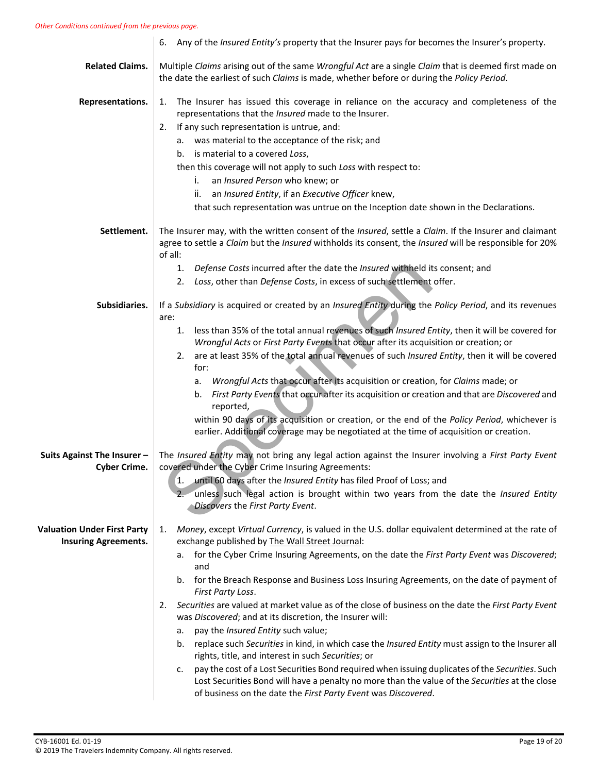#### *Other Conditions continued from the previous page.*

|                                                                   | 6. Any of the <i>Insured Entity's</i> property that the Insurer pays for becomes the Insurer's property.                                                                                                                                                      |
|-------------------------------------------------------------------|---------------------------------------------------------------------------------------------------------------------------------------------------------------------------------------------------------------------------------------------------------------|
| <b>Related Claims.</b>                                            | Multiple Claims arising out of the same Wrongful Act are a single Claim that is deemed first made on<br>the date the earliest of such Claims is made, whether before or during the Policy Period.                                                             |
| Representations.                                                  | The Insurer has issued this coverage in reliance on the accuracy and completeness of the<br>1.<br>representations that the <i>Insured</i> made to the Insurer.                                                                                                |
|                                                                   | If any such representation is untrue, and:<br>2.                                                                                                                                                                                                              |
|                                                                   | a. was material to the acceptance of the risk; and                                                                                                                                                                                                            |
|                                                                   | is material to a covered Loss,<br>b.                                                                                                                                                                                                                          |
|                                                                   | then this coverage will not apply to such Loss with respect to:                                                                                                                                                                                               |
|                                                                   | i.<br>an Insured Person who knew; or                                                                                                                                                                                                                          |
|                                                                   | an Insured Entity, if an Executive Officer knew,<br>II.                                                                                                                                                                                                       |
|                                                                   | that such representation was untrue on the Inception date shown in the Declarations.                                                                                                                                                                          |
| Settlement.                                                       | The Insurer may, with the written consent of the Insured, settle a Claim. If the Insurer and claimant<br>agree to settle a Claim but the Insured withholds its consent, the Insured will be responsible for 20%<br>of all:                                    |
|                                                                   | 1. Defense Costs incurred after the date the Insured withheld its consent; and                                                                                                                                                                                |
|                                                                   | Loss, other than Defense Costs, in excess of such settlement offer.<br>2.                                                                                                                                                                                     |
| Subsidiaries.                                                     | If a Subsidiary is acquired or created by an Insured Entity during the Policy Period, and its revenues<br>are:                                                                                                                                                |
|                                                                   | less than 35% of the total annual revenues of such Insured Entity, then it will be covered for<br>1.<br>Wrongful Acts or First Party Events that occur after its acquisition or creation; or                                                                  |
|                                                                   | are at least 35% of the total annual revenues of such Insured Entity, then it will be covered<br>2.<br>for:                                                                                                                                                   |
|                                                                   | Wrongful Acts that occur after its acquisition or creation, for Claims made; or<br>а.                                                                                                                                                                         |
|                                                                   | First Party Events that occur after its acquisition or creation and that are Discovered and<br>b.<br>reported,                                                                                                                                                |
|                                                                   | within 90 days of its acquisition or creation, or the end of the Policy Period, whichever is<br>earlier. Additional coverage may be negotiated at the time of acquisition or creation.                                                                        |
| Suits Against The Insurer -<br><b>Cyber Crime.</b>                | The Insured Entity may not bring any legal action against the Insurer involving a First Party Event<br>covered under the Cyber Crime Insuring Agreements:                                                                                                     |
|                                                                   | until 60 days after the Insured Entity has filed Proof of Loss; and<br>$\mathbf{1}$ .                                                                                                                                                                         |
|                                                                   | unless such legal action is brought within two years from the date the Insured Entity<br>Discovers the First Party Event.                                                                                                                                     |
| <b>Valuation Under First Party</b><br><b>Insuring Agreements.</b> | Money, except Virtual Currency, is valued in the U.S. dollar equivalent determined at the rate of<br>1.<br>exchange published by The Wall Street Journal:                                                                                                     |
|                                                                   | for the Cyber Crime Insuring Agreements, on the date the First Party Event was Discovered;<br>а.<br>and                                                                                                                                                       |
|                                                                   | for the Breach Response and Business Loss Insuring Agreements, on the date of payment of<br>b.<br>First Party Loss.                                                                                                                                           |
|                                                                   | Securities are valued at market value as of the close of business on the date the First Party Event<br>2.<br>was Discovered; and at its discretion, the Insurer will:                                                                                         |
|                                                                   | pay the Insured Entity such value;<br>а.                                                                                                                                                                                                                      |
|                                                                   | replace such Securities in kind, in which case the Insured Entity must assign to the Insurer all<br>b.                                                                                                                                                        |
|                                                                   | rights, title, and interest in such Securities; or<br>pay the cost of a Lost Securities Bond required when issuing duplicates of the Securities. Such<br>c.<br>Lost Securities Bond will have a penalty no more than the value of the Securities at the close |
|                                                                   | of business on the date the First Party Event was Discovered.                                                                                                                                                                                                 |